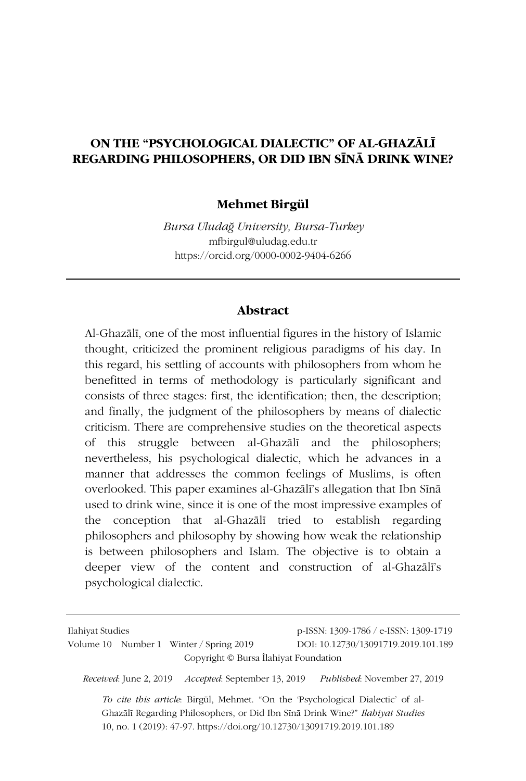## **ON THE "PSYCHOLOGICAL DIALECTIC" OF AL-GHAZĀLĪ REGARDING PHILOSOPHERS, OR DID IBN SĪNĀ DRINK WINE?**

### **Mehmet Birgül**

*Bursa Uludağ University, Bursa-Turkey* mfbirgul@uludag.edu.tr https://orcid.org/0000-0002-9404-6266

#### **Abstract**

Al-Ghazālī, one of the most influential figures in the history of Islamic thought, criticized the prominent religious paradigms of his day. In this regard, his settling of accounts with philosophers from whom he benefitted in terms of methodology is particularly significant and consists of three stages: first, the identification; then, the description; and finally, the judgment of the philosophers by means of dialectic criticism. There are comprehensive studies on the theoretical aspects of this struggle between al-Ghazālī and the philosophers; nevertheless, his psychological dialectic, which he advances in a manner that addresses the common feelings of Muslims, is often overlooked. This paper examines al-Ghazālī's allegation that Ibn Sīnā used to drink wine, since it is one of the most impressive examples of the conception that al-Ghazālī tried to establish regarding philosophers and philosophy by showing how weak the relationship is between philosophers and Islam. The objective is to obtain a deeper view of the content and construction of al-Ghazālī's psychological dialectic.

| Ilahiyat Studies |  |                                         | p-ISSN: 1309-1786 / e-ISSN: 1309-1719 |
|------------------|--|-----------------------------------------|---------------------------------------|
|                  |  | Volume 10 Number 1 Winter / Spring 2019 | DOI: 10.12730/13091719.2019.101.189   |
|                  |  |                                         | Copyright © Bursa Ilahiyat Foundation |

*Received*: June 2, 2019 *Accepted*: September 13, 2019 *Published*: November 27, 2019

*To cite this article*: Birgül, Mehmet. "On the 'Psychological Dialectic' of al-Ghazālī Regarding Philosophers, or Did Ibn Sīnā Drink Wine?" *Ilahiyat Studies* 10, no. 1 (2019): 47-97. https://doi.org/10.12730/13091719.2019.101.189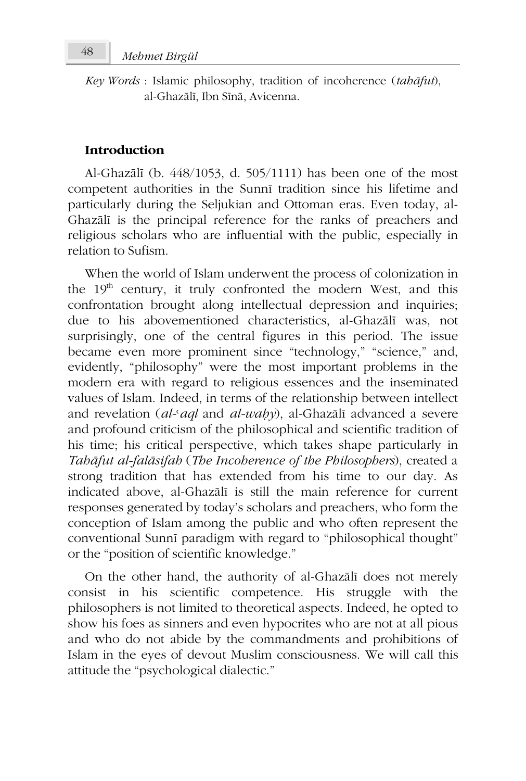*Key Words* : Islamic philosophy, tradition of incoherence (*tahāfut*), al-Ghazālī, Ibn Sīnā, Avicenna.

### **Introduction**

Al-Ghazālī (b. 448/1053, d. 505/1111) has been one of the most competent authorities in the Sunnī tradition since his lifetime and particularly during the Seljukian and Ottoman eras. Even today, al-Ghazālī is the principal reference for the ranks of preachers and religious scholars who are influential with the public, especially in relation to Sufism.

When the world of Islam underwent the process of colonization in the  $19<sup>th</sup>$  century, it truly confronted the modern West, and this confrontation brought along intellectual depression and inquiries; due to his abovementioned characteristics, al-Ghazālī was, not surprisingly, one of the central figures in this period. The issue became even more prominent since "technology," "science," and, evidently, "philosophy" were the most important problems in the modern era with regard to religious essences and the inseminated values of Islam. Indeed, in terms of the relationship between intellect and revelation (*al-*ʿ*aql* and *al-waḥy*), al-Ghazālī advanced a severe and profound criticism of the philosophical and scientific tradition of his time; his critical perspective, which takes shape particularly in *Tahāfut al-falāsifah* (*The Incoherence of the Philosophers*), created a strong tradition that has extended from his time to our day. As indicated above, al-Ghazālī is still the main reference for current responses generated by today's scholars and preachers, who form the conception of Islam among the public and who often represent the conventional Sunnī paradigm with regard to "philosophical thought" or the "position of scientific knowledge."

On the other hand, the authority of al-Ghazālī does not merely consist in his scientific competence. His struggle with the philosophers is not limited to theoretical aspects. Indeed, he opted to show his foes as sinners and even hypocrites who are not at all pious and who do not abide by the commandments and prohibitions of Islam in the eyes of devout Muslim consciousness. We will call this attitude the "psychological dialectic."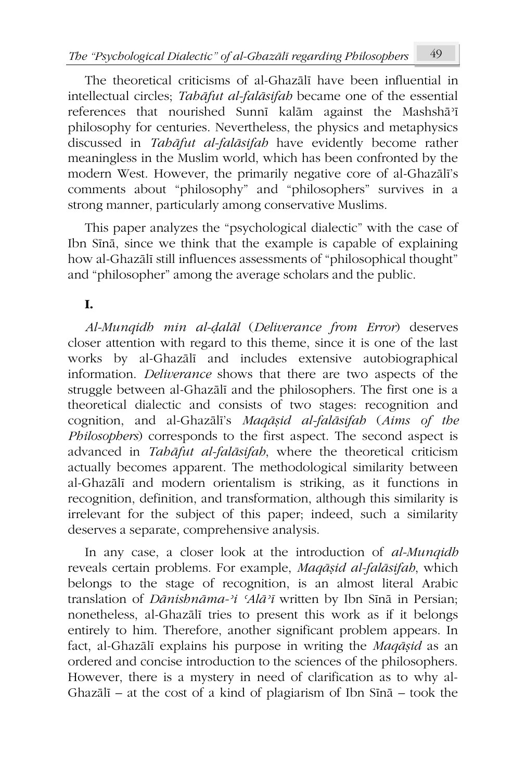The theoretical criticisms of al-Ghazālī have been influential in intellectual circles; *Tahāfut al-falāsifah* became one of the essential references that nourished Sunnī kalām against the Mashshā<sup>3</sup>ī philosophy for centuries. Nevertheless, the physics and metaphysics discussed in *Tahāfut al-falāsifah* have evidently become rather meaningless in the Muslim world, which has been confronted by the modern West. However, the primarily negative core of al-Ghazālī's comments about "philosophy" and "philosophers" survives in a strong manner, particularly among conservative Muslims.

This paper analyzes the "psychological dialectic" with the case of Ibn Sīnā, since we think that the example is capable of explaining how al-Ghazālī still influences assessments of "philosophical thought" and "philosopher" among the average scholars and the public.

## **I.**

*Al-Munqidh min al-ḍalāl* (*Deliverance from Error*) deserves closer attention with regard to this theme, since it is one of the last works by al-Ghazālī and includes extensive autobiographical information. *Deliverance* shows that there are two aspects of the struggle between al-Ghazālī and the philosophers. The first one is a theoretical dialectic and consists of two stages: recognition and cognition, and al-Ghazālī's *Maqāṣid al-falāsifah* (*Aims of the Philosophers*) corresponds to the first aspect. The second aspect is advanced in *Tahāfut al-falāsifah*, where the theoretical criticism actually becomes apparent. The methodological similarity between al-Ghazālī and modern orientalism is striking, as it functions in recognition, definition, and transformation, although this similarity is irrelevant for the subject of this paper; indeed, such a similarity deserves a separate, comprehensive analysis.

In any case, a closer look at the introduction of *al-Munqidh* reveals certain problems. For example, *Maqāṣid al-falāsifah*, which belongs to the stage of recognition, is an almost literal Arabic translation of *Dānishnāma-ʾi ʿAlāʾī* written by Ibn Sīnā in Persian; nonetheless, al-Ghazālī tries to present this work as if it belongs entirely to him. Therefore, another significant problem appears. In fact, al-Ghazālī explains his purpose in writing the *Maqāṣid* as an ordered and concise introduction to the sciences of the philosophers. However, there is a mystery in need of clarification as to why al-Ghazālī – at the cost of a kind of plagiarism of Ibn Sīnā – took the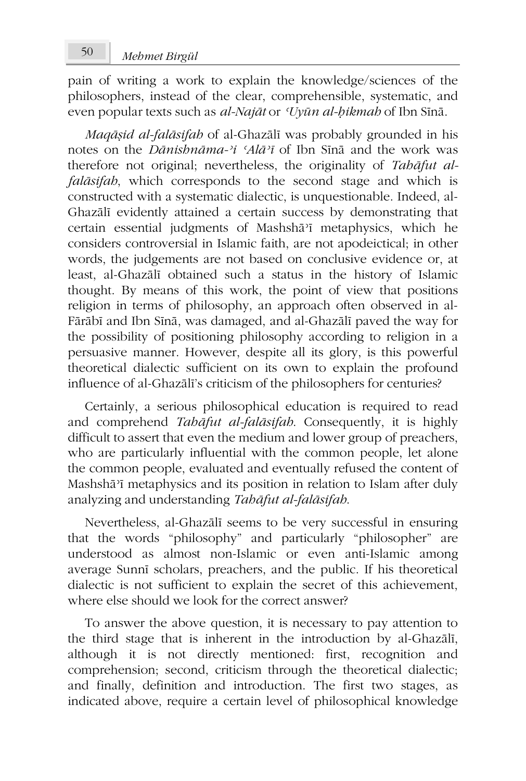pain of writing a work to explain the knowledge/sciences of the philosophers, instead of the clear, comprehensible, systematic, and even popular texts such as *al-Najāt* or *ʿUyūn al-ḥikmah* of Ibn Sīnā.

*Maqāṣid al-falāsifah* of al-Ghazālī was probably grounded in his notes on the *Dānishnāma-ʾi ʿAlāʾī* of Ibn Sīnā and the work was therefore not original; nevertheless, the originality of *Tahāfut alfalāsifah*, which corresponds to the second stage and which is constructed with a systematic dialectic, is unquestionable. Indeed, al-Ghazālī evidently attained a certain success by demonstrating that certain essential judgments of Mashshāʾī metaphysics, which he considers controversial in Islamic faith, are not apodeictical; in other words, the judgements are not based on conclusive evidence or, at least, al-Ghazālī obtained such a status in the history of Islamic thought. By means of this work, the point of view that positions religion in terms of philosophy, an approach often observed in al-Fārābī and Ibn Sīnā, was damaged, and al-Ghazālī paved the way for the possibility of positioning philosophy according to religion in a persuasive manner. However, despite all its glory, is this powerful theoretical dialectic sufficient on its own to explain the profound influence of al-Ghazālī's criticism of the philosophers for centuries?

Certainly, a serious philosophical education is required to read and comprehend *Tahāfut al-falāsifah*. Consequently, it is highly difficult to assert that even the medium and lower group of preachers, who are particularly influential with the common people, let alone the common people, evaluated and eventually refused the content of Mashshāʾī metaphysics and its position in relation to Islam after duly analyzing and understanding *Tahāfut al-falāsifah*.

Nevertheless, al-Ghazālī seems to be very successful in ensuring that the words "philosophy" and particularly "philosopher" are understood as almost non-Islamic or even anti-Islamic among average Sunnī scholars, preachers, and the public. If his theoretical dialectic is not sufficient to explain the secret of this achievement, where else should we look for the correct answer?

To answer the above question, it is necessary to pay attention to the third stage that is inherent in the introduction by al-Ghazālī, although it is not directly mentioned: first, recognition and comprehension; second, criticism through the theoretical dialectic; and finally, definition and introduction. The first two stages, as indicated above, require a certain level of philosophical knowledge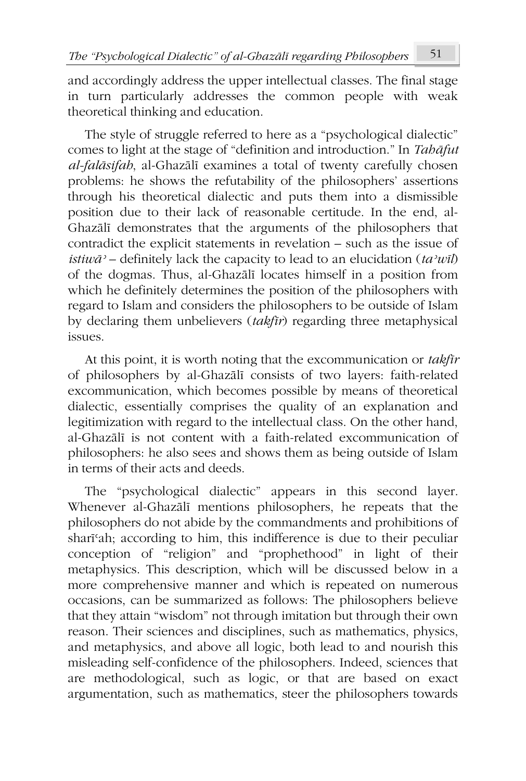and accordingly address the upper intellectual classes. The final stage in turn particularly addresses the common people with weak theoretical thinking and education.

The style of struggle referred to here as a "psychological dialectic" comes to light at the stage of "definition and introduction." In *Tahāfut al-falāsifah*, al-Ghazālī examines a total of twenty carefully chosen problems: he shows the refutability of the philosophers' assertions through his theoretical dialectic and puts them into a dismissible position due to their lack of reasonable certitude. In the end, al-Ghazālī demonstrates that the arguments of the philosophers that contradict the explicit statements in revelation – such as the issue of *istiwāʾ –* definitely lack the capacity to lead to an elucidation (*taʾwīl*) of the dogmas. Thus, al-Ghazālī locates himself in a position from which he definitely determines the position of the philosophers with regard to Islam and considers the philosophers to be outside of Islam by declaring them unbelievers (*takfīr*) regarding three metaphysical issues.

At this point, it is worth noting that the excommunication or *takfīr* of philosophers by al-Ghazālī consists of two layers: faith-related excommunication, which becomes possible by means of theoretical dialectic, essentially comprises the quality of an explanation and legitimization with regard to the intellectual class. On the other hand, al-Ghazālī is not content with a faith-related excommunication of philosophers: he also sees and shows them as being outside of Islam in terms of their acts and deeds.

The "psychological dialectic" appears in this second layer. Whenever al-Ghazālī mentions philosophers, he repeats that the philosophers do not abide by the commandments and prohibitions of sharīʿah; according to him, this indifference is due to their peculiar conception of "religion" and "prophethood" in light of their metaphysics. This description, which will be discussed below in a more comprehensive manner and which is repeated on numerous occasions, can be summarized as follows: The philosophers believe that they attain "wisdom" not through imitation but through their own reason. Their sciences and disciplines, such as mathematics, physics, and metaphysics, and above all logic, both lead to and nourish this misleading self-confidence of the philosophers. Indeed, sciences that are methodological, such as logic, or that are based on exact argumentation, such as mathematics, steer the philosophers towards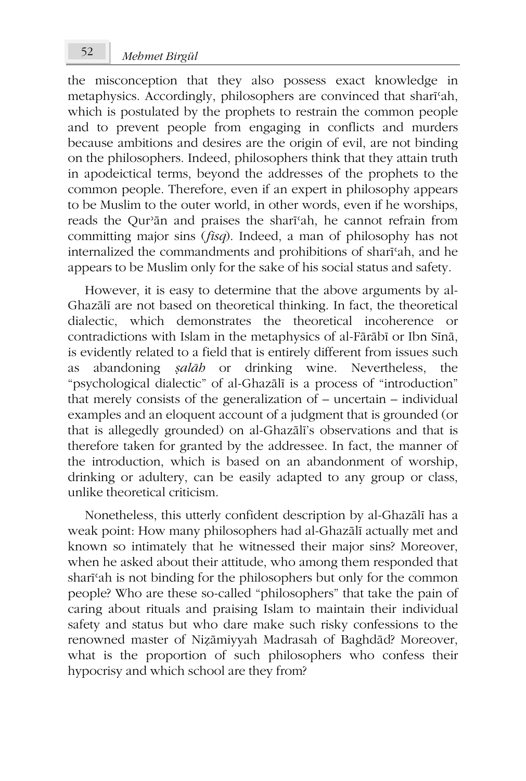the misconception that they also possess exact knowledge in metaphysics. Accordingly, philosophers are convinced that sharīʿah, which is postulated by the prophets to restrain the common people and to prevent people from engaging in conflicts and murders because ambitions and desires are the origin of evil, are not binding on the philosophers. Indeed, philosophers think that they attain truth in apodeictical terms, beyond the addresses of the prophets to the common people. Therefore, even if an expert in philosophy appears to be Muslim to the outer world, in other words, even if he worships, reads the Qurʾān and praises the sharīʿah, he cannot refrain from committing major sins (*fisq*). Indeed, a man of philosophy has not internalized the commandments and prohibitions of sharīʿah, and he appears to be Muslim only for the sake of his social status and safety.

However, it is easy to determine that the above arguments by al-Ghazālī are not based on theoretical thinking. In fact, the theoretical dialectic, which demonstrates the theoretical incoherence or contradictions with Islam in the metaphysics of al-Fārābī or Ibn Sīnā, is evidently related to a field that is entirely different from issues such as abandoning *ṣalāh* or drinking wine. Nevertheless, the "psychological dialectic" of al-Ghazālī is a process of "introduction" that merely consists of the generalization of – uncertain – individual examples and an eloquent account of a judgment that is grounded (or that is allegedly grounded) on al-Ghazālī's observations and that is therefore taken for granted by the addressee. In fact, the manner of the introduction, which is based on an abandonment of worship, drinking or adultery, can be easily adapted to any group or class, unlike theoretical criticism.

Nonetheless, this utterly confident description by al-Ghazālī has a weak point: How many philosophers had al-Ghazālī actually met and known so intimately that he witnessed their major sins? Moreover, when he asked about their attitude, who among them responded that sharīʿah is not binding for the philosophers but only for the common people? Who are these so-called "philosophers" that take the pain of caring about rituals and praising Islam to maintain their individual safety and status but who dare make such risky confessions to the renowned master of Niẓāmiyyah Madrasah of Baghdād? Moreover, what is the proportion of such philosophers who confess their hypocrisy and which school are they from?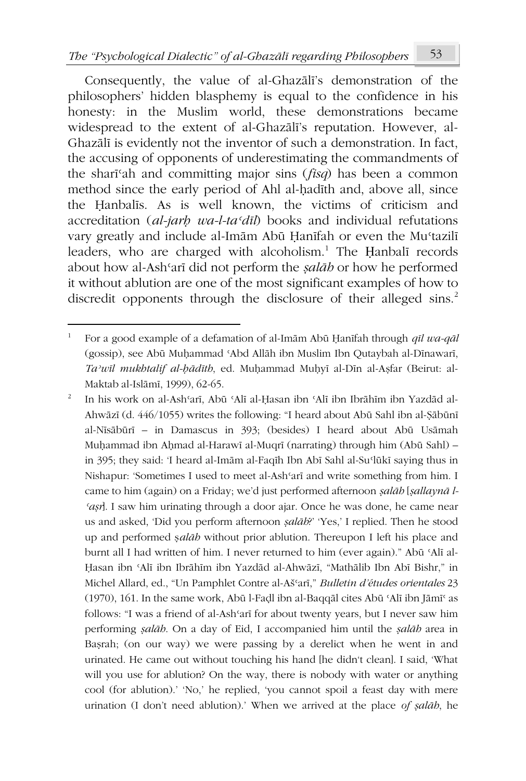Consequently, the value of al-Ghazālī's demonstration of the philosophers' hidden blasphemy is equal to the confidence in his honesty: in the Muslim world, these demonstrations became widespread to the extent of al-Ghazālī's reputation. However, al-Ghazālī is evidently not the inventor of such a demonstration. In fact, the accusing of opponents of underestimating the commandments of the sharīʿah and committing major sins (*fisq*) has been a common method since the early period of Ahl al-ḥadīth and, above all, since the Ḥanbalīs. As is well known, the victims of criticism and accreditation (*al-jarḥ wa-l-taʿdīl*) books and individual refutations vary greatly and include al-Imām Abū Ḥanīfah or even the Muʿtazilī leaders, who are charged with alcoholism.<sup>1</sup> The Ḥanbalī records about how al-Ashʿarī did not perform the *ṣalāh* or how he performed it without ablution are one of the most significant examples of how to discredit opponents through the disclosure of their alleged sins.<sup>2</sup>

<sup>1</sup> For a good example of a defamation of al-Imām Abū Ḥanīfah through *qīl wa-qāl* (gossip), see Abū Muḥammad ʿAbd Allāh ibn Muslim Ibn Qutaybah al-Dīnawarī, *Taʾwīl mukhtalif al-ḥādīth*, ed. Muḥammad Muḥyī al-Dīn al-Aṣfar (Beirut: al-Maktab al-Islāmī, 1999), 62-65.

<sup>2</sup> In his work on al-Ashʿarī, Abū ʿAlī al-Ḥasan ibn ʿAlī ibn Ibrāhīm ibn Yazdād al-Ahwāzī (d. 446/1055) writes the following: "I heard about Abū Sahl ibn al-Ṣābūnī al-Nīsābūrī – in Damascus in 393; (besides) I heard about Abū Usāmah Muḥammad ibn Aḥmad al-Harawī al-Muqrī (narrating) through him (Abū Sahl) – in 395; they said: 'I heard al-Imām al-Faqīh Ibn Abī Sahl al-Suʿlūkī saying thus in Nishapur: 'Sometimes I used to meet al-Ashʿarī and write something from him. I came to him (again) on a Friday; we'd just performed afternoon *ṣalāh* [*ṣallaynā l-ʿaṣr*]. I saw him urinating through a door ajar. Once he was done, he came near us and asked, 'Did you perform afternoon *ṣalāh*?' 'Yes,' I replied. Then he stood up and performed ṣ*alāh* without prior ablution. Thereupon I left his place and burnt all I had written of him. I never returned to him (ever again)." Abū ʿAlī al-Ḥasan ibn ʿAlī ibn Ibrāhīm ibn Yazdād al-Ahwāzī, "Mathālib Ibn Abī Bishr," in Michel Allard, ed., "Un Pamphlet Contre al-Ašʿarī," *Bulletin d'études orientales* 23 (1970), 161. In the same work, Abū l-Faḍl ibn al-Baqqāl cites Abū ʿAlī ibn Jāmīʿ as follows: "I was a friend of al-Ashʿarī for about twenty years, but I never saw him performing *ṣalāh*. On a day of Eid, I accompanied him until the *ṣalāh* area in Baṣrah; (on our way) we were passing by a derelict when he went in and urinated. He came out without touching his hand [he didn't clean]. I said, 'What will you use for ablution? On the way, there is nobody with water or anything cool (for ablution).' 'No,' he replied, 'you cannot spoil a feast day with mere urination (I don't need ablution).' When we arrived at the place *of ṣalāh*, he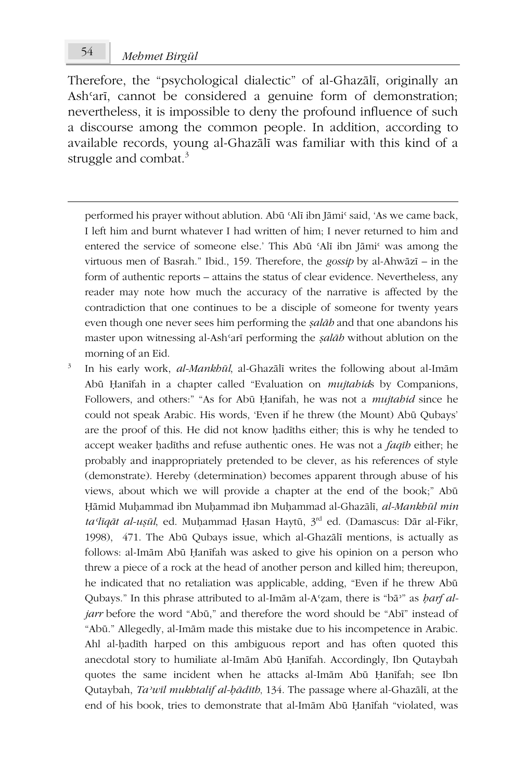Therefore, the "psychological dialectic" of al-Ghazālī, originally an Ashʿarī, cannot be considered a genuine form of demonstration; nevertheless, it is impossible to deny the profound influence of such a discourse among the common people. In addition, according to available records, young al-Ghazālī was familiar with this kind of a struggle and combat. $3$ 

performed his prayer without ablution. Abū ʿAlī ibn Jāmiʿ said, 'As we came back, I left him and burnt whatever I had written of him; I never returned to him and entered the service of someone else.' This Abū 'Alī ibn Jāmi' was among the virtuous men of Basrah." Ibid., 159. Therefore, the *gossip* by al-Ahwāzī – in the form of authentic reports – attains the status of clear evidence. Nevertheless, any reader may note how much the accuracy of the narrative is affected by the contradiction that one continues to be a disciple of someone for twenty years even though one never sees him performing the *ṣalāh* and that one abandons his master upon witnessing al-Ashʿarī performing the *ṣalāh* without ablution on the morning of an Eid.

3 In his early work, *al-Mankhūl*, al-Ghazālī writes the following about al-Imām Abū Ḥanīfah in a chapter called "Evaluation on *mujtahid*s by Companions, Followers, and others:" "As for Abū Ḥanifah, he was not a *mujtahid* since he could not speak Arabic. His words, 'Even if he threw (the Mount) Abū Qubays' are the proof of this. He did not know ḥadīths either; this is why he tended to accept weaker ḥadīths and refuse authentic ones. He was not a *faqīh* either; he probably and inappropriately pretended to be clever, as his references of style (demonstrate). Hereby (determination) becomes apparent through abuse of his views, about which we will provide a chapter at the end of the book;" Abū Ḥāmid Muḥammad ibn Muḥammad ibn Muḥammad al-Ghazālī, *al-Mankhūl min taʿlīqāt al-uṣūl*, ed. Muḥammad Ḥasan Haytū, 3rd ed. (Damascus: Dār al-Fikr, 1998), 471. The Abū Qubays issue, which al-Ghazālī mentions, is actually as follows: al-Imām Abū Ḥanīfah was asked to give his opinion on a person who threw a piece of a rock at the head of another person and killed him; thereupon, he indicated that no retaliation was applicable, adding, "Even if he threw Abū Qubays." In this phrase attributed to al-Imām al-Aʿẓam, there is "bāʾ" as *ḥarf aljarr* before the word "Abū," and therefore the word should be "Abī" instead of "Abū." Allegedly, al-Imām made this mistake due to his incompetence in Arabic. Ahl al-ḥadīth harped on this ambiguous report and has often quoted this anecdotal story to humiliate al-Imām Abū Ḥanīfah. Accordingly, Ibn Qutaybah quotes the same incident when he attacks al-Imām Abū Ḥanīfah; see Ibn Qutaybah, *Taʾwīl mukhtalif al-ḥādīth*, 134. The passage where al-Ghazālī, at the end of his book, tries to demonstrate that al-Imām Abū Ḥanīfah "violated, was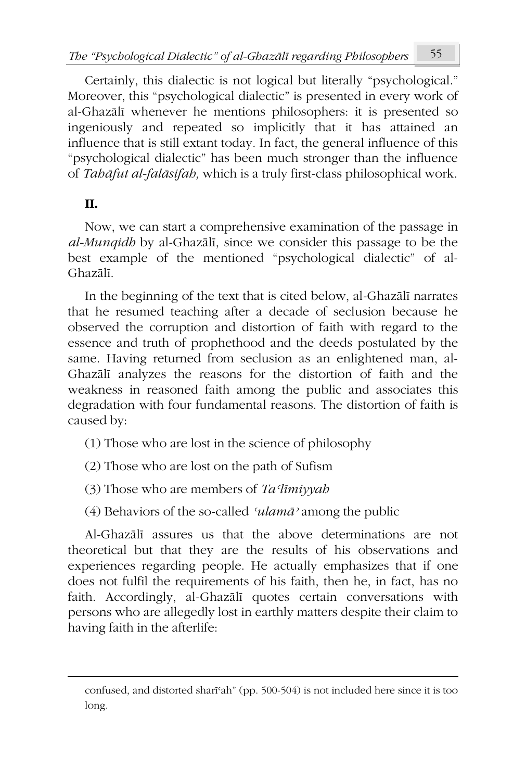Certainly, this dialectic is not logical but literally "psychological." Moreover, this "psychological dialectic" is presented in every work of al-Ghazālī whenever he mentions philosophers: it is presented so ingeniously and repeated so implicitly that it has attained an influence that is still extant today. In fact, the general influence of this "psychological dialectic" has been much stronger than the influence of *Tahāfut al-falāsifah,* which is a truly first-class philosophical work.

## **II.**

Now, we can start a comprehensive examination of the passage in *al-Munqidh* by al-Ghazālī, since we consider this passage to be the best example of the mentioned "psychological dialectic" of al-Ghazālī.

In the beginning of the text that is cited below, al-Ghazālī narrates that he resumed teaching after a decade of seclusion because he observed the corruption and distortion of faith with regard to the essence and truth of prophethood and the deeds postulated by the same. Having returned from seclusion as an enlightened man, al-Ghazālī analyzes the reasons for the distortion of faith and the weakness in reasoned faith among the public and associates this degradation with four fundamental reasons. The distortion of faith is caused by:

(1) Those who are lost in the science of philosophy

(2) Those who are lost on the path of Sufism

(3) Those who are members of *Taʿlīmiyyah*

(4) Behaviors of the so-called *ʿulamāʾ* among the public

Al-Ghazālī assures us that the above determinations are not theoretical but that they are the results of his observations and experiences regarding people. He actually emphasizes that if one does not fulfil the requirements of his faith, then he, in fact, has no faith. Accordingly, al-Ghazālī quotes certain conversations with persons who are allegedly lost in earthly matters despite their claim to having faith in the afterlife:

confused, and distorted sharīʿah" (pp. 500-504) is not included here since it is too long.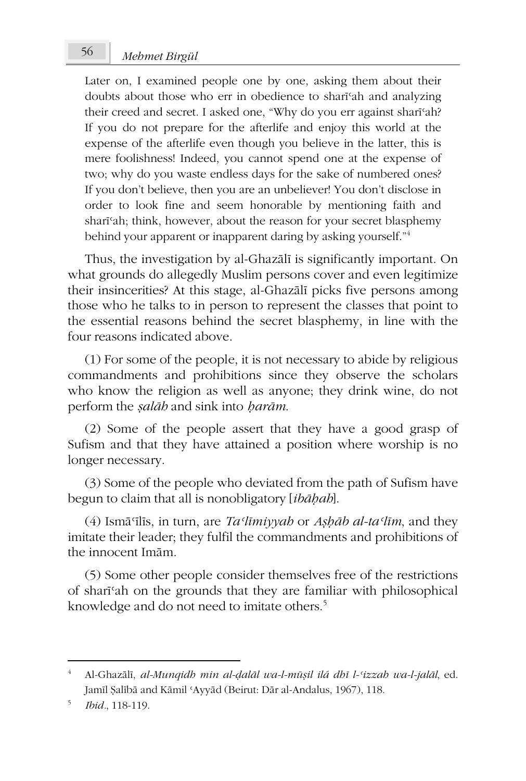# *Mehmet Birgül* 56

Later on, I examined people one by one, asking them about their doubts about those who err in obedience to sharīʿah and analyzing their creed and secret. I asked one, "Why do you err against sharīʿah? If you do not prepare for the afterlife and enjoy this world at the expense of the afterlife even though you believe in the latter, this is mere foolishness! Indeed, you cannot spend one at the expense of two; why do you waste endless days for the sake of numbered ones? If you don't believe, then you are an unbeliever! You don't disclose in order to look fine and seem honorable by mentioning faith and sharīʿah; think, however, about the reason for your secret blasphemy behind your apparent or inapparent daring by asking yourself."<sup>4</sup>

Thus, the investigation by al-Ghazālī is significantly important. On what grounds do allegedly Muslim persons cover and even legitimize their insincerities? At this stage, al-Ghazālī picks five persons among those who he talks to in person to represent the classes that point to the essential reasons behind the secret blasphemy, in line with the four reasons indicated above.

(1) For some of the people, it is not necessary to abide by religious commandments and prohibitions since they observe the scholars who know the religion as well as anyone; they drink wine, do not perform the *ṣalāh* and sink into *ḥarām*.

(2) Some of the people assert that they have a good grasp of Sufism and that they have attained a position where worship is no longer necessary.

(3) Some of the people who deviated from the path of Sufism have begun to claim that all is nonobligatory [*ibāḥah*].

(4) Ismāʿīlīs, in turn, are *Taʿlīmiyyah* or *Aṣḥāb al-taʿlīm*, and they imitate their leader; they fulfil the commandments and prohibitions of the innocent Imām.

(5) Some other people consider themselves free of the restrictions of sharīʿah on the grounds that they are familiar with philosophical knowledge and do not need to imitate others.<sup>5</sup>

<sup>4</sup> Al-Ghazālī, *al-Munqidh min al-ḍalāl wa-l-mūṣil ilá dhī l-ʿizzah wa-l-jalāl*, ed. Jamīl Ṣalībā and Kāmil ʿAyyād (Beirut: Dār al-Andalus, 1967), 118.

<sup>5</sup> *Ibid.*, 118-119.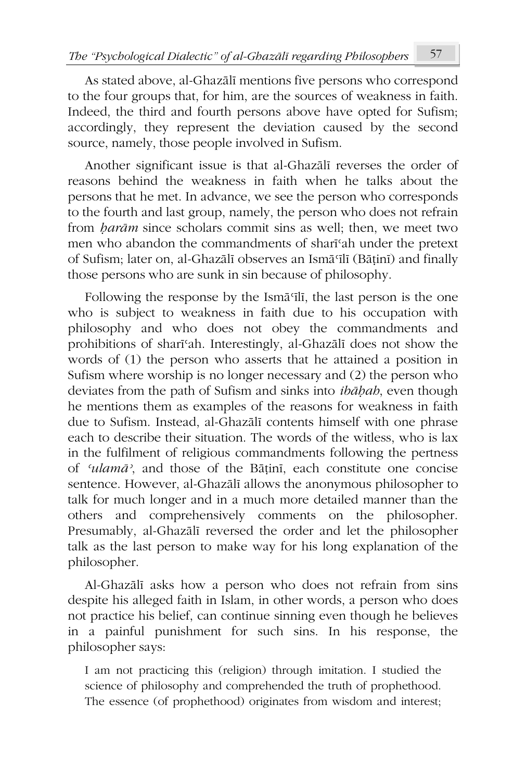As stated above, al-Ghazālī mentions five persons who correspond to the four groups that, for him, are the sources of weakness in faith. Indeed, the third and fourth persons above have opted for Sufism; accordingly, they represent the deviation caused by the second source, namely, those people involved in Sufism.

Another significant issue is that al-Ghazālī reverses the order of reasons behind the weakness in faith when he talks about the persons that he met. In advance, we see the person who corresponds to the fourth and last group, namely, the person who does not refrain from *ḥarām* since scholars commit sins as well; then, we meet two men who abandon the commandments of sharīʿah under the pretext of Sufism; later on, al-Ghazālī observes an Ismāʿīlī (Bāṭinī) and finally those persons who are sunk in sin because of philosophy.

Following the response by the Ismāʿīlī, the last person is the one who is subject to weakness in faith due to his occupation with philosophy and who does not obey the commandments and prohibitions of sharīʿah. Interestingly, al-Ghazālī does not show the words of (1) the person who asserts that he attained a position in Sufism where worship is no longer necessary and (2) the person who deviates from the path of Sufism and sinks into *ibāḥah*, even though he mentions them as examples of the reasons for weakness in faith due to Sufism. Instead, al-Ghazālī contents himself with one phrase each to describe their situation. The words of the witless, who is lax in the fulfilment of religious commandments following the pertness of *ʿulamāʾ*, and those of the Bāṭinī, each constitute one concise sentence. However, al-Ghazālī allows the anonymous philosopher to talk for much longer and in a much more detailed manner than the others and comprehensively comments on the philosopher. Presumably, al-Ghazālī reversed the order and let the philosopher talk as the last person to make way for his long explanation of the philosopher.

Al-Ghazālī asks how a person who does not refrain from sins despite his alleged faith in Islam, in other words, a person who does not practice his belief, can continue sinning even though he believes in a painful punishment for such sins. In his response, the philosopher says:

I am not practicing this (religion) through imitation. I studied the science of philosophy and comprehended the truth of prophethood. The essence (of prophethood) originates from wisdom and interest;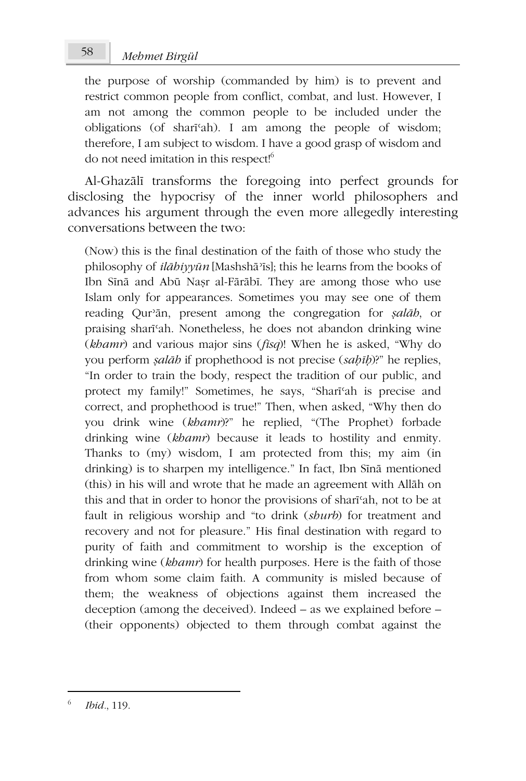# *Mehmet Birgül* 58

the purpose of worship (commanded by him) is to prevent and restrict common people from conflict, combat, and lust. However, I am not among the common people to be included under the obligations (of sharīʿah). I am among the people of wisdom; therefore, I am subject to wisdom. I have a good grasp of wisdom and do not need imitation in this respect!<sup>6</sup>

Al-Ghazālī transforms the foregoing into perfect grounds for disclosing the hypocrisy of the inner world philosophers and advances his argument through the even more allegedly interesting conversations between the two:

(Now) this is the final destination of the faith of those who study the philosophy of *ilāhiyyūn* [Mashshāʾīs]; this he learns from the books of Ibn Sīnā and Abū Naṣr al-Fārābī. They are among those who use Islam only for appearances. Sometimes you may see one of them reading Qurʾān, present among the congregation for *ṣalāh*, or praising sharīʿah. Nonetheless, he does not abandon drinking wine (*khamr*) and various major sins (*fisq*)! When he is asked, "Why do you perform *ṣalāh* if prophethood is not precise (*saḥīḥ*)?" he replies, "In order to train the body, respect the tradition of our public, and protect my family!" Sometimes, he says, "Sharīʿah is precise and correct, and prophethood is true!" Then, when asked, "Why then do you drink wine (*khamr*)?" he replied, "(The Prophet) forbade drinking wine (*khamr*) because it leads to hostility and enmity. Thanks to (my) wisdom, I am protected from this; my aim (in drinking) is to sharpen my intelligence." In fact, Ibn Sīnā mentioned (this) in his will and wrote that he made an agreement with Allāh on this and that in order to honor the provisions of sharīʿah, not to be at fault in religious worship and "to drink (*shurb*) for treatment and recovery and not for pleasure." His final destination with regard to purity of faith and commitment to worship is the exception of drinking wine (*khamr*) for health purposes. Here is the faith of those from whom some claim faith. A community is misled because of them; the weakness of objections against them increased the deception (among the deceived). Indeed – as we explained before – (their opponents) objected to them through combat against the

<sup>6</sup> *Ibid.*, 119.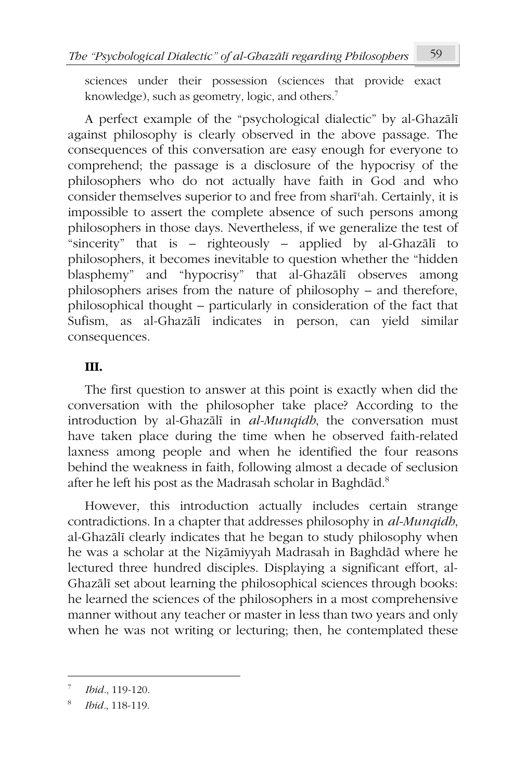sciences under their possession (sciences that provide exact knowledge), such as geometry, logic, and others.<sup>7</sup>

A perfect example of the "psychological dialectic" by al-Ghazālī against philosophy is clearly observed in the above passage. The consequences of this conversation are easy enough for everyone to comprehend; the passage is a disclosure of the hypocrisy of the philosophers who do not actually have faith in God and who consider themselves superior to and free from sharīʿah. Certainly, it is impossible to assert the complete absence of such persons among philosophers in those days. Nevertheless, if we generalize the test of "sincerity" that is – righteously – applied by al-Ghazālī to philosophers, it becomes inevitable to question whether the "hidden blasphemy" and "hypocrisy" that al-Ghazālī observes among philosophers arises from the nature of philosophy – and therefore, philosophical thought – particularly in consideration of the fact that Sufism, as al-Ghazālī indicates in person, can yield similar consequences.

### **III.**

The first question to answer at this point is exactly when did the conversation with the philosopher take place? According to the introduction by al-Ghazālī in *al-Munqidh*, the conversation must have taken place during the time when he observed faith-related laxness among people and when he identified the four reasons behind the weakness in faith, following almost a decade of seclusion after he left his post as the Madrasah scholar in Baghdād.<sup>8</sup>

However, this introduction actually includes certain strange contradictions. In a chapter that addresses philosophy in *al-Munqidh*, al-Ghazālī clearly indicates that he began to study philosophy when he was a scholar at the Niẓāmiyyah Madrasah in Baghdād where he lectured three hundred disciples. Displaying a significant effort, al-Ghazālī set about learning the philosophical sciences through books: he learned the sciences of the philosophers in a most comprehensive manner without any teacher or master in less than two years and only when he was not writing or lecturing; then, he contemplated these

<sup>7</sup> *Ibid.*, 119-120.

<sup>8</sup> *Ibid.*, 118-119.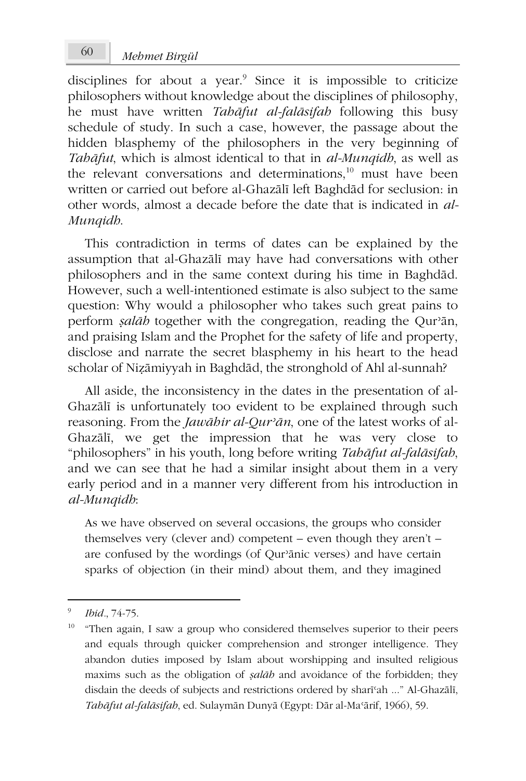disciplines for about a year.<sup>9</sup> Since it is impossible to criticize philosophers without knowledge about the disciplines of philosophy, he must have written *Tahāfut al-falāsifah* following this busy schedule of study. In such a case, however, the passage about the hidden blasphemy of the philosophers in the very beginning of *Tahāfut*, which is almost identical to that in *al-Munqidh*, as well as the relevant conversations and determinations,<sup>10</sup> must have been written or carried out before al-Ghazālī left Baghdād for seclusion: in other words, almost a decade before the date that is indicated in *al-Munqidh*.

This contradiction in terms of dates can be explained by the assumption that al-Ghazālī may have had conversations with other philosophers and in the same context during his time in Baghdād. However, such a well-intentioned estimate is also subject to the same question: Why would a philosopher who takes such great pains to perform *ṣalāh* together with the congregation, reading the Qurʾān, and praising Islam and the Prophet for the safety of life and property, disclose and narrate the secret blasphemy in his heart to the head scholar of Niẓāmiyyah in Baghdād, the stronghold of Ahl al-sunnah?

All aside, the inconsistency in the dates in the presentation of al-Ghazālī is unfortunately too evident to be explained through such reasoning. From the *Jawāhir al-Qurʾān*, one of the latest works of al-Ghazālī, we get the impression that he was very close to "philosophers" in his youth, long before writing *Tahāfut al-falāsifah*, and we can see that he had a similar insight about them in a very early period and in a manner very different from his introduction in *al-Munqidh*:

As we have observed on several occasions, the groups who consider themselves very (clever and) competent – even though they aren't – are confused by the wordings (of Qurʾānic verses) and have certain sparks of objection (in their mind) about them, and they imagined

<sup>9</sup> *Ibid.*, 74-75.

 $10$  "Then again, I saw a group who considered themselves superior to their peers and equals through quicker comprehension and stronger intelligence. They abandon duties imposed by Islam about worshipping and insulted religious maxims such as the obligation of *ṣalāh* and avoidance of the forbidden; they disdain the deeds of subjects and restrictions ordered by sharīʿah ..." Al-Ghazālī, *Tahāfut al-falāsifah*, ed. Sulaymān Dunyā (Egypt: Dār al-Maʿārif, 1966), 59.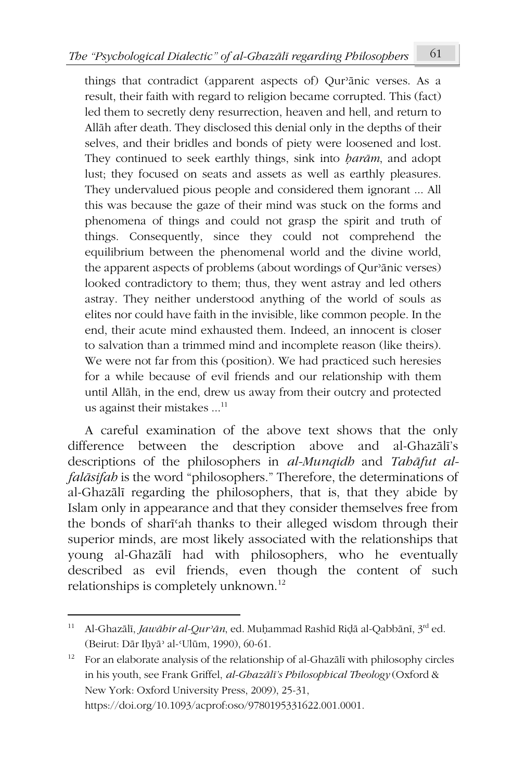things that contradict (apparent aspects of) Qurʾānic verses. As a result, their faith with regard to religion became corrupted. This (fact) led them to secretly deny resurrection, heaven and hell, and return to Allāh after death. They disclosed this denial only in the depths of their selves, and their bridles and bonds of piety were loosened and lost. They continued to seek earthly things, sink into *ḥarām*, and adopt lust; they focused on seats and assets as well as earthly pleasures. They undervalued pious people and considered them ignorant ... All this was because the gaze of their mind was stuck on the forms and phenomena of things and could not grasp the spirit and truth of things. Consequently, since they could not comprehend the equilibrium between the phenomenal world and the divine world, the apparent aspects of problems (about wordings of Qurʾānic verses) looked contradictory to them; thus, they went astray and led others astray. They neither understood anything of the world of souls as elites nor could have faith in the invisible, like common people. In the end, their acute mind exhausted them. Indeed, an innocent is closer to salvation than a trimmed mind and incomplete reason (like theirs). We were not far from this (position). We had practiced such heresies for a while because of evil friends and our relationship with them until Allāh, in the end, drew us away from their outcry and protected us against their mistakes  $\dots$ <sup>11</sup>

A careful examination of the above text shows that the only difference between the description above and al-Ghazālī's descriptions of the philosophers in *al-Munqidh* and *Tahāfut alfalāsifah* is the word "philosophers." Therefore, the determinations of al-Ghazālī regarding the philosophers, that is, that they abide by Islam only in appearance and that they consider themselves free from the bonds of sharīʿah thanks to their alleged wisdom through their superior minds, are most likely associated with the relationships that young al-Ghazālī had with philosophers, who he eventually described as evil friends, even though the content of such relationships is completely unknown.<sup>12</sup>

<sup>11</sup> Al-Ghazālī, *Jawāhir al-Qurʾān*, ed. Muḥammad Rashīd Riḍā al-Qabbānī, 3rd ed. (Beirut: Dār Iḥyāʾ al-ʿUlūm, 1990), 60-61.

<sup>&</sup>lt;sup>12</sup> For an elaborate analysis of the relationship of al-Ghazālī with philosophy circles in his youth, see Frank Griffel, *al-Ghazālī's Philosophical Theology* (Oxford & New York: Oxford University Press, 2009), 25-31, https://doi.org/10.1093/acprof:oso/9780195331622.001.0001.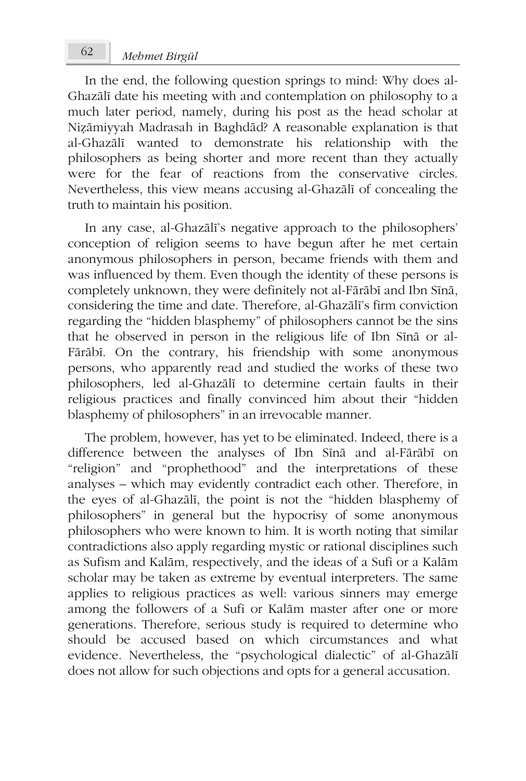In the end, the following question springs to mind: Why does al-Ghazālī date his meeting with and contemplation on philosophy to a much later period, namely, during his post as the head scholar at Niẓāmiyyah Madrasah in Baghdād? A reasonable explanation is that al-Ghazālī wanted to demonstrate his relationship with the philosophers as being shorter and more recent than they actually were for the fear of reactions from the conservative circles. Nevertheless, this view means accusing al-Ghazālī of concealing the truth to maintain his position.

In any case, al-Ghazālī's negative approach to the philosophers' conception of religion seems to have begun after he met certain anonymous philosophers in person, became friends with them and was influenced by them. Even though the identity of these persons is completely unknown, they were definitely not al-Fārābī and Ibn Sīnā, considering the time and date. Therefore, al-Ghazālī's firm conviction regarding the "hidden blasphemy" of philosophers cannot be the sins that he observed in person in the religious life of Ibn Sīnā or al-Fārābī. On the contrary, his friendship with some anonymous persons, who apparently read and studied the works of these two philosophers, led al-Ghazālī to determine certain faults in their religious practices and finally convinced him about their "hidden blasphemy of philosophers" in an irrevocable manner.

The problem, however, has yet to be eliminated. Indeed, there is a difference between the analyses of Ibn Sīnā and al-Fārābī on "religion" and "prophethood" and the interpretations of these analyses – which may evidently contradict each other. Therefore, in the eyes of al-Ghazālī, the point is not the "hidden blasphemy of philosophers" in general but the hypocrisy of some anonymous philosophers who were known to him. It is worth noting that similar contradictions also apply regarding mystic or rational disciplines such as Sufism and Kalām, respectively, and the ideas of a Sufi or a Kalām scholar may be taken as extreme by eventual interpreters. The same applies to religious practices as well: various sinners may emerge among the followers of a Sufi or Kalām master after one or more generations. Therefore, serious study is required to determine who should be accused based on which circumstances and what evidence. Nevertheless, the "psychological dialectic" of al-Ghazālī does not allow for such objections and opts for a general accusation.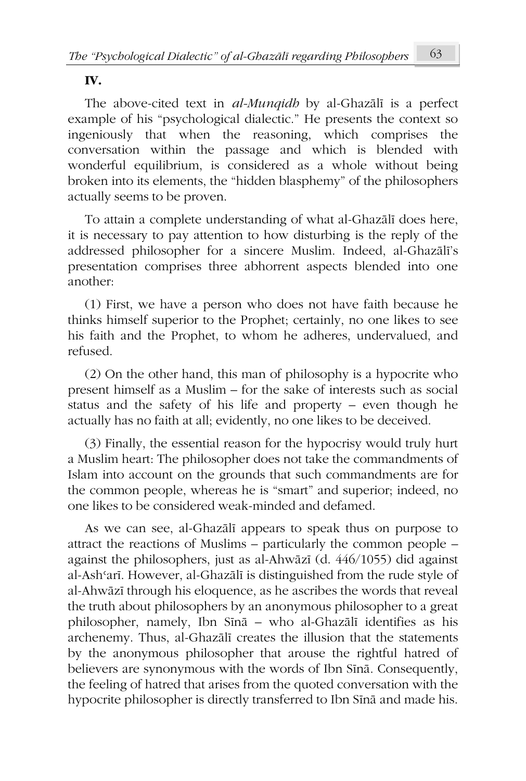### **IV.**

The above-cited text in *al-Munqidh* by al-Ghazālī is a perfect example of his "psychological dialectic." He presents the context so ingeniously that when the reasoning, which comprises the conversation within the passage and which is blended with wonderful equilibrium, is considered as a whole without being broken into its elements, the "hidden blasphemy" of the philosophers actually seems to be proven.

To attain a complete understanding of what al-Ghazālī does here, it is necessary to pay attention to how disturbing is the reply of the addressed philosopher for a sincere Muslim. Indeed, al-Ghazālī's presentation comprises three abhorrent aspects blended into one another:

(1) First, we have a person who does not have faith because he thinks himself superior to the Prophet; certainly, no one likes to see his faith and the Prophet, to whom he adheres, undervalued, and refused.

(2) On the other hand, this man of philosophy is a hypocrite who present himself as a Muslim – for the sake of interests such as social status and the safety of his life and property – even though he actually has no faith at all; evidently, no one likes to be deceived.

(3) Finally, the essential reason for the hypocrisy would truly hurt a Muslim heart: The philosopher does not take the commandments of Islam into account on the grounds that such commandments are for the common people, whereas he is "smart" and superior; indeed, no one likes to be considered weak-minded and defamed.

As we can see, al-Ghazālī appears to speak thus on purpose to attract the reactions of Muslims – particularly the common people – against the philosophers, just as al-Ahwāzī (d. 446/1055) did against al-Ashʿarī. However, al-Ghazālī is distinguished from the rude style of al-Ahwāzī through his eloquence, as he ascribes the words that reveal the truth about philosophers by an anonymous philosopher to a great philosopher, namely, Ibn Sīnā – who al-Ghazālī identifies as his archenemy. Thus, al-Ghazālī creates the illusion that the statements by the anonymous philosopher that arouse the rightful hatred of believers are synonymous with the words of Ibn Sīnā. Consequently, the feeling of hatred that arises from the quoted conversation with the hypocrite philosopher is directly transferred to Ibn Sīnā and made his.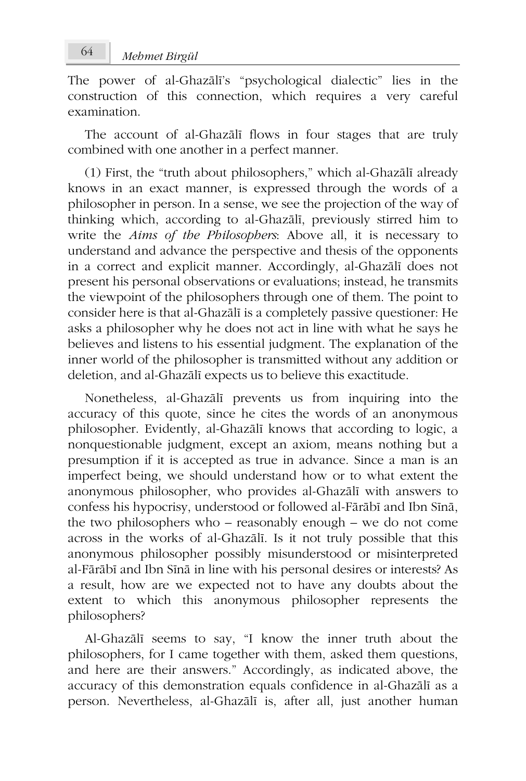The power of al-Ghazālī's "psychological dialectic" lies in the construction of this connection, which requires a very careful examination.

The account of al-Ghazālī flows in four stages that are truly combined with one another in a perfect manner.

(1) First, the "truth about philosophers," which al-Ghazālī already knows in an exact manner, is expressed through the words of a philosopher in person. In a sense, we see the projection of the way of thinking which, according to al-Ghazālī, previously stirred him to write the *Aims of the Philosophers*: Above all, it is necessary to understand and advance the perspective and thesis of the opponents in a correct and explicit manner. Accordingly, al-Ghazālī does not present his personal observations or evaluations; instead, he transmits the viewpoint of the philosophers through one of them. The point to consider here is that al-Ghazālī is a completely passive questioner: He asks a philosopher why he does not act in line with what he says he believes and listens to his essential judgment. The explanation of the inner world of the philosopher is transmitted without any addition or deletion, and al-Ghazālī expects us to believe this exactitude.

Nonetheless, al-Ghazālī prevents us from inquiring into the accuracy of this quote, since he cites the words of an anonymous philosopher. Evidently, al-Ghazālī knows that according to logic, a nonquestionable judgment, except an axiom, means nothing but a presumption if it is accepted as true in advance. Since a man is an imperfect being, we should understand how or to what extent the anonymous philosopher, who provides al-Ghazālī with answers to confess his hypocrisy, understood or followed al-Fārābī and Ibn Sīnā, the two philosophers who – reasonably enough – we do not come across in the works of al-Ghazālī. Is it not truly possible that this anonymous philosopher possibly misunderstood or misinterpreted al-Fārābī and Ibn Sīnā in line with his personal desires or interests? As a result, how are we expected not to have any doubts about the extent to which this anonymous philosopher represents the philosophers?

Al-Ghazālī seems to say, "I know the inner truth about the philosophers, for I came together with them, asked them questions, and here are their answers." Accordingly, as indicated above, the accuracy of this demonstration equals confidence in al-Ghazālī as a person. Nevertheless, al-Ghazālī is, after all, just another human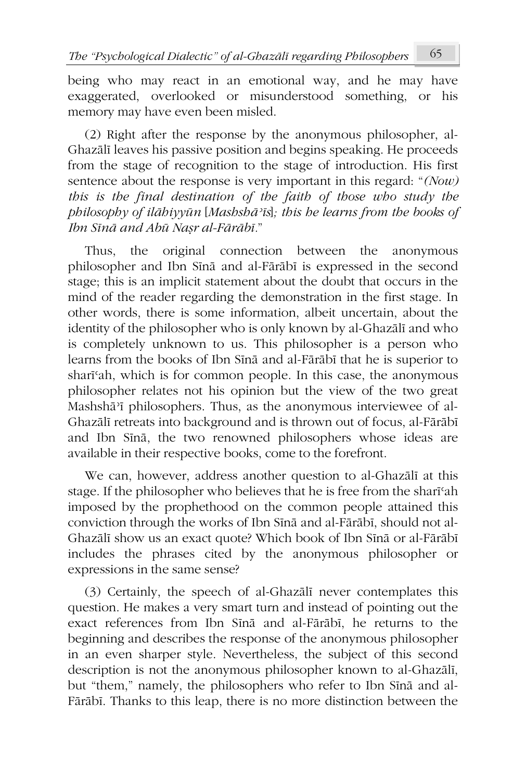being who may react in an emotional way, and he may have exaggerated, overlooked or misunderstood something, or his memory may have even been misled.

(2) Right after the response by the anonymous philosopher, al-Ghazālī leaves his passive position and begins speaking. He proceeds from the stage of recognition to the stage of introduction. His first sentence about the response is very important in this regard: "*(Now) this is the final destination of the faith of those who study the philosophy of ilāhiyyūn* [*Mashshāʾīs*]*; this he learns from the books of Ibn Sīnā and Abū Naṣr al-Fārābī.*"

Thus, the original connection between the anonymous philosopher and Ibn Sīnā and al-Fārābī is expressed in the second stage; this is an implicit statement about the doubt that occurs in the mind of the reader regarding the demonstration in the first stage. In other words, there is some information, albeit uncertain, about the identity of the philosopher who is only known by al-Ghazālī and who is completely unknown to us. This philosopher is a person who learns from the books of Ibn Sīnā and al-Fārābī that he is superior to sharīʿah, which is for common people. In this case, the anonymous philosopher relates not his opinion but the view of the two great Mashshāʾī philosophers. Thus, as the anonymous interviewee of al-Ghazālī retreats into background and is thrown out of focus, al-Fārābī and Ibn Sīnā, the two renowned philosophers whose ideas are available in their respective books, come to the forefront.

We can, however, address another question to al-Ghazālī at this stage. If the philosopher who believes that he is free from the sharīʿah imposed by the prophethood on the common people attained this conviction through the works of Ibn Sīnā and al-Fārābī, should not al-Ghazālī show us an exact quote? Which book of Ibn Sīnā or al-Fārābī includes the phrases cited by the anonymous philosopher or expressions in the same sense?

(3) Certainly, the speech of al-Ghazālī never contemplates this question. He makes a very smart turn and instead of pointing out the exact references from Ibn Sīnā and al-Fārābī, he returns to the beginning and describes the response of the anonymous philosopher in an even sharper style. Nevertheless, the subject of this second description is not the anonymous philosopher known to al-Ghazālī, but "them," namely, the philosophers who refer to Ibn Sīnā and al-Fārābī. Thanks to this leap, there is no more distinction between the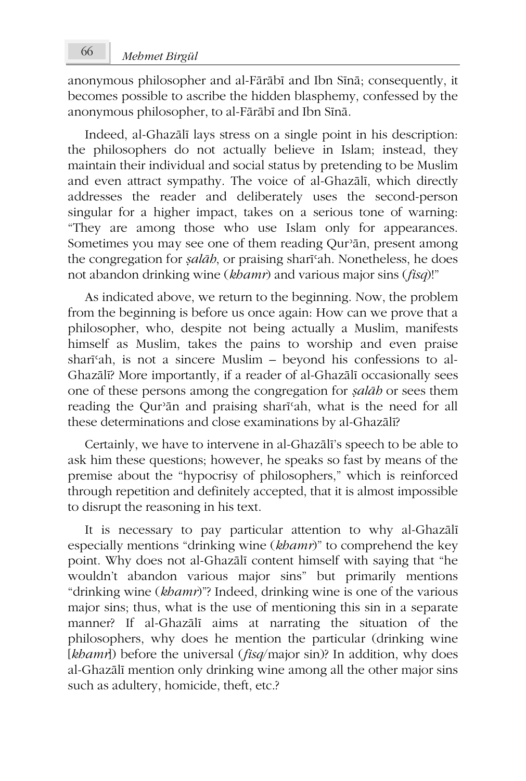anonymous philosopher and al-Fārābī and Ibn Sīnā; consequently, it becomes possible to ascribe the hidden blasphemy, confessed by the anonymous philosopher, to al-Fārābī and Ibn Sīnā.

Indeed, al-Ghazālī lays stress on a single point in his description: the philosophers do not actually believe in Islam; instead, they maintain their individual and social status by pretending to be Muslim and even attract sympathy. The voice of al-Ghazālī, which directly addresses the reader and deliberately uses the second-person singular for a higher impact, takes on a serious tone of warning: "They are among those who use Islam only for appearances. Sometimes you may see one of them reading Qurʾān, present among the congregation for *ṣalāh*, or praising sharīʿah. Nonetheless, he does not abandon drinking wine (*khamr*) and various major sins (*fisq*)!"

As indicated above, we return to the beginning. Now, the problem from the beginning is before us once again: How can we prove that a philosopher, who, despite not being actually a Muslim, manifests himself as Muslim, takes the pains to worship and even praise sharīʿah, is not a sincere Muslim – beyond his confessions to al-Ghazālī? More importantly, if a reader of al-Ghazālī occasionally sees one of these persons among the congregation for *ṣalāh* or sees them reading the Qurʾān and praising sharīʿah, what is the need for all these determinations and close examinations by al-Ghazālī?

Certainly, we have to intervene in al-Ghazālī's speech to be able to ask him these questions; however, he speaks so fast by means of the premise about the "hypocrisy of philosophers," which is reinforced through repetition and definitely accepted, that it is almost impossible to disrupt the reasoning in his text.

It is necessary to pay particular attention to why al-Ghazālī especially mentions "drinking wine (*khamr*)" to comprehend the key point. Why does not al-Ghazālī content himself with saying that "he wouldn't abandon various major sins" but primarily mentions "drinking wine (*khamr*)"? Indeed, drinking wine is one of the various major sins; thus, what is the use of mentioning this sin in a separate manner? If al-Ghazālī aims at narrating the situation of the philosophers, why does he mention the particular (drinking wine [*khamr*]) before the universal (*fisq*/major sin)? In addition, why does al-Ghazālī mention only drinking wine among all the other major sins such as adultery, homicide, theft, etc.?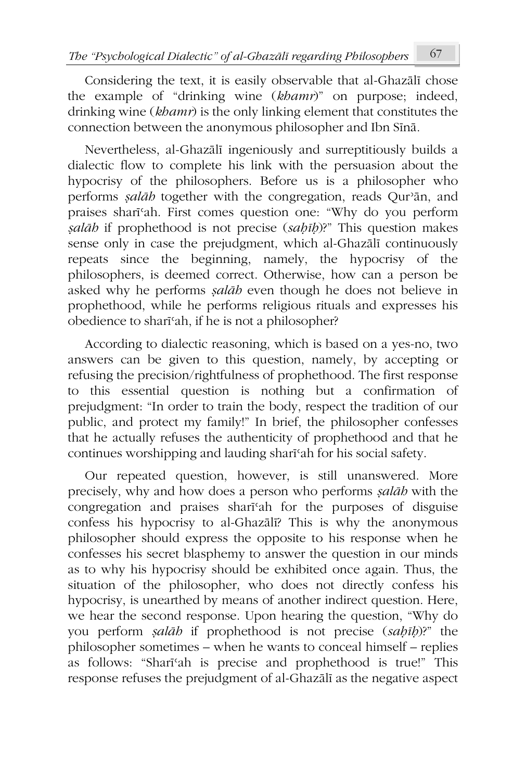Considering the text, it is easily observable that al-Ghazālī chose the example of "drinking wine (*khamr*)" on purpose; indeed, drinking wine (*khamr*) is the only linking element that constitutes the connection between the anonymous philosopher and Ibn Sīnā.

Nevertheless, al-Ghazālī ingeniously and surreptitiously builds a dialectic flow to complete his link with the persuasion about the hypocrisy of the philosophers. Before us is a philosopher who performs *ṣalāh* together with the congregation, reads Qurʾān, and praises sharīʿah. First comes question one: "Why do you perform *ṣalāh* if prophethood is not precise (*saḥīḥ*)?" This question makes sense only in case the prejudgment, which al-Ghazālī continuously repeats since the beginning, namely, the hypocrisy of the philosophers, is deemed correct. Otherwise, how can a person be asked why he performs *ṣalāh* even though he does not believe in prophethood, while he performs religious rituals and expresses his obedience to sharīʿah, if he is not a philosopher?

According to dialectic reasoning, which is based on a yes-no, two answers can be given to this question, namely, by accepting or refusing the precision/rightfulness of prophethood. The first response to this essential question is nothing but a confirmation of prejudgment: "In order to train the body, respect the tradition of our public, and protect my family!" In brief, the philosopher confesses that he actually refuses the authenticity of prophethood and that he continues worshipping and lauding sharīʿah for his social safety.

Our repeated question, however, is still unanswered. More precisely, why and how does a person who performs *ṣalāh* with the congregation and praises sharīʿah for the purposes of disguise confess his hypocrisy to al-Ghazālī? This is why the anonymous philosopher should express the opposite to his response when he confesses his secret blasphemy to answer the question in our minds as to why his hypocrisy should be exhibited once again. Thus, the situation of the philosopher, who does not directly confess his hypocrisy, is unearthed by means of another indirect question. Here, we hear the second response. Upon hearing the question, "Why do you perform *ṣalāh* if prophethood is not precise (*saḥīḥ*)?" the philosopher sometimes – when he wants to conceal himself – replies as follows: "Sharīʿah is precise and prophethood is true!" This response refuses the prejudgment of al-Ghazālī as the negative aspect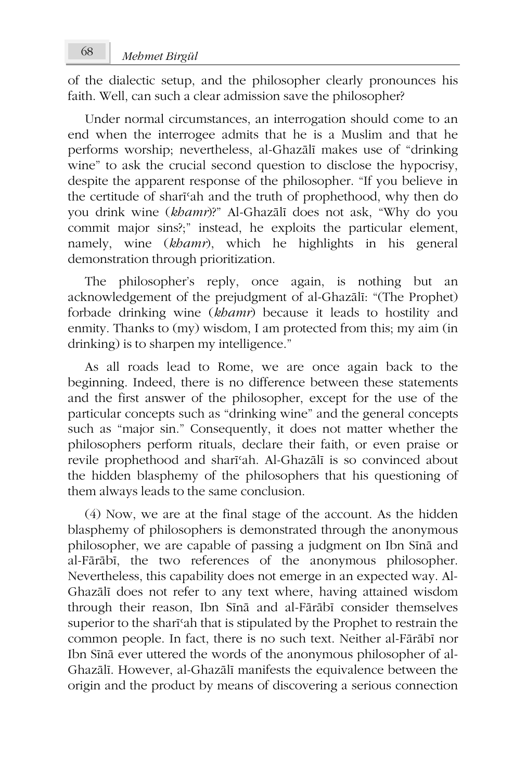of the dialectic setup, and the philosopher clearly pronounces his faith. Well, can such a clear admission save the philosopher?

Under normal circumstances, an interrogation should come to an end when the interrogee admits that he is a Muslim and that he performs worship; nevertheless, al-Ghazālī makes use of "drinking wine" to ask the crucial second question to disclose the hypocrisy, despite the apparent response of the philosopher. "If you believe in the certitude of sharīʿah and the truth of prophethood, why then do you drink wine (*khamr*)?" Al-Ghazālī does not ask, "Why do you commit major sins?;" instead, he exploits the particular element, namely, wine (*khamr*), which he highlights in his general demonstration through prioritization.

The philosopher's reply, once again, is nothing but an acknowledgement of the prejudgment of al-Ghazālī: "(The Prophet) forbade drinking wine (*khamr*) because it leads to hostility and enmity. Thanks to (my) wisdom, I am protected from this; my aim (in drinking) is to sharpen my intelligence."

As all roads lead to Rome, we are once again back to the beginning. Indeed, there is no difference between these statements and the first answer of the philosopher, except for the use of the particular concepts such as "drinking wine" and the general concepts such as "major sin." Consequently, it does not matter whether the philosophers perform rituals, declare their faith, or even praise or revile prophethood and sharīʿah. Al-Ghazālī is so convinced about the hidden blasphemy of the philosophers that his questioning of them always leads to the same conclusion.

(4) Now, we are at the final stage of the account. As the hidden blasphemy of philosophers is demonstrated through the anonymous philosopher, we are capable of passing a judgment on Ibn Sīnā and al-Fārābī, the two references of the anonymous philosopher. Nevertheless, this capability does not emerge in an expected way. Al-Ghazālī does not refer to any text where, having attained wisdom through their reason, Ibn Sīnā and al-Fārābī consider themselves superior to the sharish that is stipulated by the Prophet to restrain the common people. In fact, there is no such text. Neither al-Fārābī nor Ibn Sīnā ever uttered the words of the anonymous philosopher of al-Ghazālī. However, al-Ghazālī manifests the equivalence between the origin and the product by means of discovering a serious connection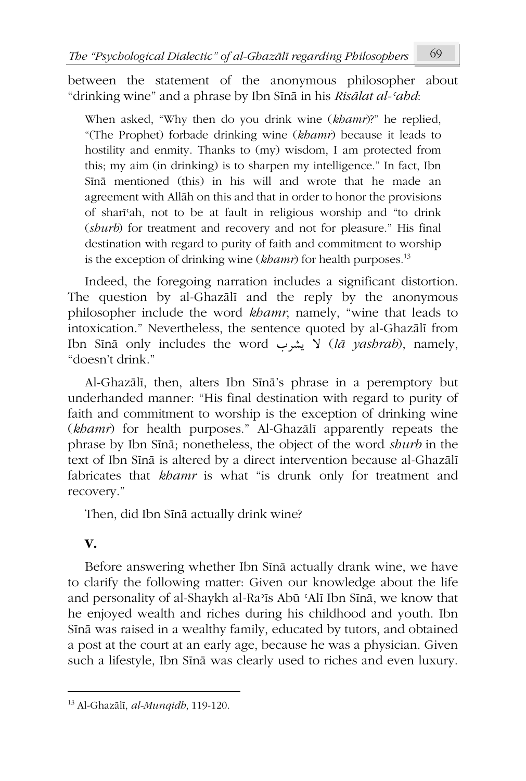between the statement of the anonymous philosopher about "drinking wine" and a phrase by Ibn Sīnā in his *Risālat al-ʿahd*:

When asked, "Why then do you drink wine (*khamr*)?" he replied, "(The Prophet) forbade drinking wine (*khamr*) because it leads to hostility and enmity. Thanks to (my) wisdom, I am protected from this; my aim (in drinking) is to sharpen my intelligence." In fact, Ibn Sīnā mentioned (this) in his will and wrote that he made an agreement with Allāh on this and that in order to honor the provisions of sharīʿah, not to be at fault in religious worship and "to drink (*shurb*) for treatment and recovery and not for pleasure." His final destination with regard to purity of faith and commitment to worship is the exception of drinking wine (*khamr*) for health purposes.<sup>13</sup>

Indeed, the foregoing narration includes a significant distortion. The question by al-Ghazālī and the reply by the anonymous philosopher include the word *khamr*, namely, "wine that leads to intoxication." Nevertheless, the sentence quoted by al-Ghazālī from Ibn Sīnā only includes the word بشرب V (*lā yashrab*), namely, "doesn't drink."

Al-Ghazālī, then, alters Ibn Sīnā's phrase in a peremptory but underhanded manner: "His final destination with regard to purity of faith and commitment to worship is the exception of drinking wine (*khamr*) for health purposes." Al-Ghazālī apparently repeats the phrase by Ibn Sīnā; nonetheless, the object of the word *shurb* in the text of Ibn Sīnā is altered by a direct intervention because al-Ghazālī fabricates that *khamr* is what "is drunk only for treatment and recovery."

Then, did Ibn Sīnā actually drink wine?

## **V.**

Before answering whether Ibn Sīnā actually drank wine, we have to clarify the following matter: Given our knowledge about the life and personality of al-Shaykh al-Raʾīs Abū ʿAlī Ibn Sīnā, we know that he enjoyed wealth and riches during his childhood and youth. Ibn Sīnā was raised in a wealthy family, educated by tutors, and obtained a post at the court at an early age, because he was a physician. Given such a lifestyle, Ibn Sīnā was clearly used to riches and even luxury.

<sup>13</sup> Al-Ghazālī, *al-Munqidh*, 119-120.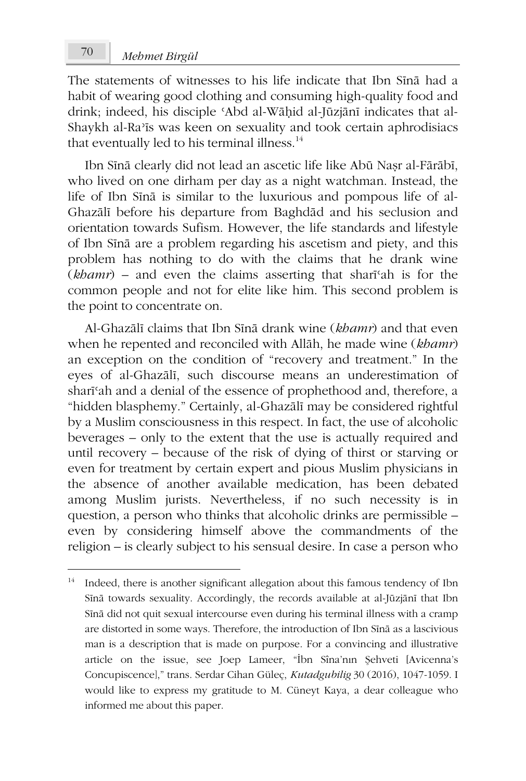The statements of witnesses to his life indicate that Ibn Sīnā had a habit of wearing good clothing and consuming high-quality food and drink; indeed, his disciple ʿAbd al-Wāḥid al-Jūzjānī indicates that al-Shaykh al-Raʾīs was keen on sexuality and took certain aphrodisiacs that eventually led to his terminal illness.<sup>14</sup>

Ibn Sīnā clearly did not lead an ascetic life like Abū Naṣr al-Fārābī, who lived on one dirham per day as a night watchman. Instead, the life of Ibn Sīnā is similar to the luxurious and pompous life of al-Ghazālī before his departure from Baghdād and his seclusion and orientation towards Sufism. However, the life standards and lifestyle of Ibn Sīnā are a problem regarding his ascetism and piety, and this problem has nothing to do with the claims that he drank wine (*khamr*) – and even the claims asserting that sharīʿah is for the common people and not for elite like him. This second problem is the point to concentrate on.

Al-Ghazālī claims that Ibn Sīnā drank wine (*khamr*) and that even when he repented and reconciled with Allāh, he made wine (*khamr*) an exception on the condition of "recovery and treatment." In the eyes of al-Ghazālī, such discourse means an underestimation of sharīʿah and a denial of the essence of prophethood and, therefore, a "hidden blasphemy." Certainly, al-Ghazālī may be considered rightful by a Muslim consciousness in this respect. In fact, the use of alcoholic beverages – only to the extent that the use is actually required and until recovery – because of the risk of dying of thirst or starving or even for treatment by certain expert and pious Muslim physicians in the absence of another available medication, has been debated among Muslim jurists. Nevertheless, if no such necessity is in question, a person who thinks that alcoholic drinks are permissible – even by considering himself above the commandments of the religion – is clearly subject to his sensual desire. In case a person who

<sup>&</sup>lt;sup>14</sup> Indeed, there is another significant allegation about this famous tendency of Ibn Sīnā towards sexuality. Accordingly, the records available at al-Jūzjānī that Ibn Sīnā did not quit sexual intercourse even during his terminal illness with a cramp are distorted in some ways. Therefore, the introduction of Ibn Sīnā as a lascivious man is a description that is made on purpose. For a convincing and illustrative article on the issue, see Joep Lameer, "İbn Sîna'nın Şehveti [Avicenna's Concupiscence]," trans. Serdar Cihan Güleç, *Kutadgubilig* 30 (2016), 1047-1059. I would like to express my gratitude to M. Cüneyt Kaya, a dear colleague who informed me about this paper.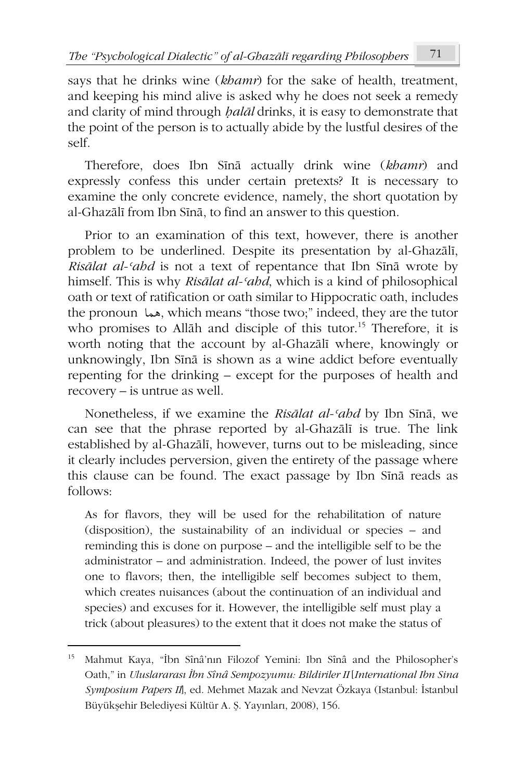says that he drinks wine (*khamr*) for the sake of health, treatment, and keeping his mind alive is asked why he does not seek a remedy and clarity of mind through *ḥalāl* drinks, it is easy to demonstrate that the point of the person is to actually abide by the lustful desires of the self.

Therefore, does Ibn Sīnā actually drink wine (*khamr*) and expressly confess this under certain pretexts? It is necessary to examine the only concrete evidence, namely, the short quotation by al-Ghazālī from Ibn Sīnā, to find an answer to this question.

Prior to an examination of this text, however, there is another problem to be underlined. Despite its presentation by al-Ghazālī, *Risālat al-ʿahd* is not a text of repentance that Ibn Sīnā wrote by himself. This is why *Risālat al-ʿahd*, which is a kind of philosophical oath or text of ratification or oath similar to Hippocratic oath, includes the pronoun معها, which means "those two;" indeed, they are the tutor who promises to Allāh and disciple of this tutor.<sup>15</sup> Therefore, it is worth noting that the account by al-Ghazālī where, knowingly or unknowingly, Ibn Sīnā is shown as a wine addict before eventually repenting for the drinking – except for the purposes of health and recovery – is untrue as well.

Nonetheless, if we examine the *Risālat al-ʿahd* by Ibn Sīnā, we can see that the phrase reported by al-Ghazālī is true. The link established by al-Ghazālī, however, turns out to be misleading, since it clearly includes perversion, given the entirety of the passage where this clause can be found. The exact passage by Ibn Sīnā reads as follows:

As for flavors, they will be used for the rehabilitation of nature (disposition), the sustainability of an individual or species – and reminding this is done on purpose – and the intelligible self to be the administrator – and administration. Indeed, the power of lust invites one to flavors; then, the intelligible self becomes subject to them, which creates nuisances (about the continuation of an individual and species) and excuses for it. However, the intelligible self must play a trick (about pleasures) to the extent that it does not make the status of

<sup>15</sup> Mahmut Kaya, "İbn Sînâ'nın Filozof Yemini: Ibn Sînâ and the Philosopher's Oath," in *Uluslararası İbn Sînâ Sempozyumu: Bildiriler II* [*International Ibn Sina Symposium Papers II*], ed. Mehmet Mazak and Nevzat Özkaya (Istanbul: İstanbul Büyükşehir Belediyesi Kültür A. Ş. Yayınları, 2008), 156.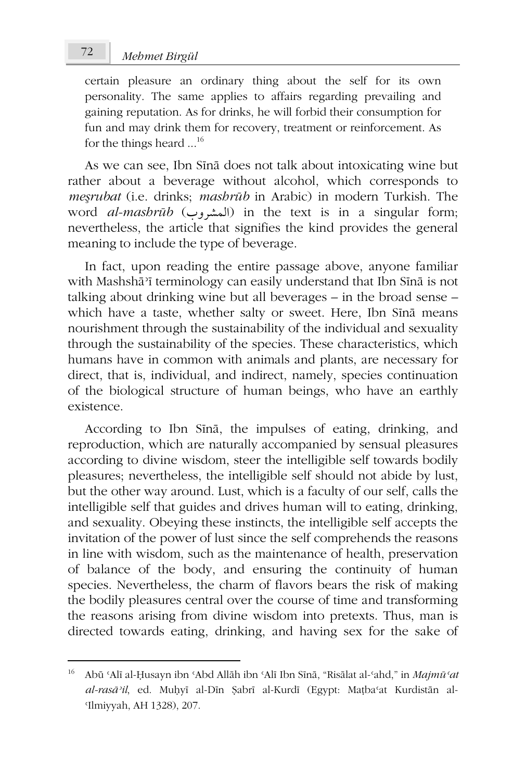# *Mehmet Birgül* 72

certain pleasure an ordinary thing about the self for its own personality. The same applies to affairs regarding prevailing and gaining reputation. As for drinks, he will forbid their consumption for fun and may drink them for recovery, treatment or reinforcement. As for the things heard ...<sup>16</sup>

As we can see, Ibn Sīnā does not talk about intoxicating wine but rather about a beverage without alcohol, which corresponds to *meşrubat* (i.e. drinks; *mashrūb* in Arabic) in modern Turkish. The word *al-mashrūb* (المشروب) in the text is in a singular form; nevertheless, the article that signifies the kind provides the general meaning to include the type of beverage.

In fact, upon reading the entire passage above, anyone familiar with Mashshāʾī terminology can easily understand that Ibn Sīnā is not talking about drinking wine but all beverages – in the broad sense – which have a taste, whether salty or sweet. Here, Ibn Sīnā means nourishment through the sustainability of the individual and sexuality through the sustainability of the species. These characteristics, which humans have in common with animals and plants, are necessary for direct, that is, individual, and indirect, namely, species continuation of the biological structure of human beings, who have an earthly existence.

According to Ibn Sīnā, the impulses of eating, drinking, and reproduction, which are naturally accompanied by sensual pleasures according to divine wisdom, steer the intelligible self towards bodily pleasures; nevertheless, the intelligible self should not abide by lust, but the other way around. Lust, which is a faculty of our self, calls the intelligible self that guides and drives human will to eating, drinking, and sexuality. Obeying these instincts, the intelligible self accepts the invitation of the power of lust since the self comprehends the reasons in line with wisdom, such as the maintenance of health, preservation of balance of the body, and ensuring the continuity of human species. Nevertheless, the charm of flavors bears the risk of making the bodily pleasures central over the course of time and transforming the reasons arising from divine wisdom into pretexts. Thus, man is directed towards eating, drinking, and having sex for the sake of

<sup>16</sup> Abū ʿAlī al-Ḥusayn ibn ʿAbd Allāh ibn ʿAlī Ibn Sīnā, "Risālat al-ʿahd," in *Majmūʿat al-rasāʾil*, ed. Muḥyī al-Dīn Ṣabrī al-Kurdī (Egypt: Maṭbaʿat Kurdistān al-ʿIlmiyyah, AH 1328), 207.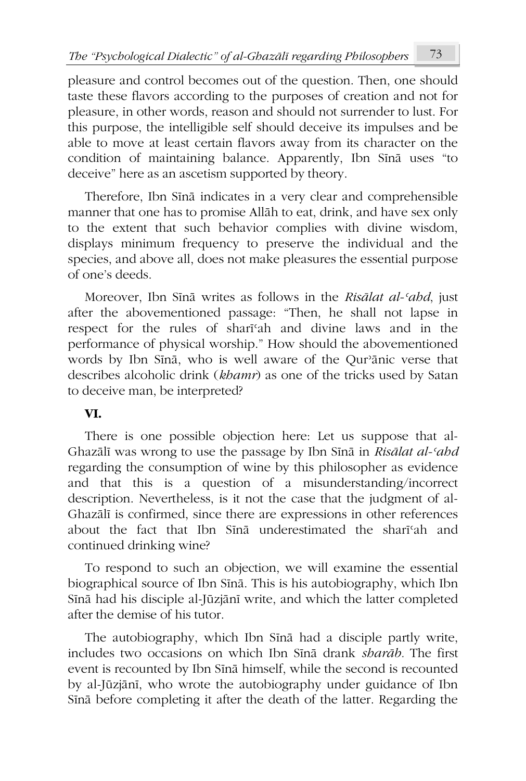pleasure and control becomes out of the question. Then, one should taste these flavors according to the purposes of creation and not for pleasure, in other words, reason and should not surrender to lust. For this purpose, the intelligible self should deceive its impulses and be able to move at least certain flavors away from its character on the condition of maintaining balance. Apparently, Ibn Sīnā uses "to deceive" here as an ascetism supported by theory.

Therefore, Ibn Sīnā indicates in a very clear and comprehensible manner that one has to promise Allāh to eat, drink, and have sex only to the extent that such behavior complies with divine wisdom, displays minimum frequency to preserve the individual and the species, and above all, does not make pleasures the essential purpose of one's deeds.

Moreover, Ibn Sīnā writes as follows in the *Risālat al-ʿahd*, just after the abovementioned passage: "Then, he shall not lapse in respect for the rules of sharīʿah and divine laws and in the performance of physical worship." How should the abovementioned words by Ibn Sīnā, who is well aware of the Qurʾānic verse that describes alcoholic drink (*khamr*) as one of the tricks used by Satan to deceive man, be interpreted?

### **VI.**

There is one possible objection here: Let us suppose that al-Ghazālī was wrong to use the passage by Ibn Sīnā in *Risālat al-ʿahd* regarding the consumption of wine by this philosopher as evidence and that this is a question of a misunderstanding/incorrect description. Nevertheless, is it not the case that the judgment of al-Ghazālī is confirmed, since there are expressions in other references about the fact that Ibn Sīnā underestimated the sharīʿah and continued drinking wine?

To respond to such an objection, we will examine the essential biographical source of Ibn Sīnā. This is his autobiography, which Ibn Sīnā had his disciple al-Jūzjānī write, and which the latter completed after the demise of his tutor.

The autobiography, which Ibn Sīnā had a disciple partly write, includes two occasions on which Ibn Sīnā drank *sharāb.* The first event is recounted by Ibn Sīnā himself, while the second is recounted by al-Jūzjānī, who wrote the autobiography under guidance of Ibn Sīnā before completing it after the death of the latter. Regarding the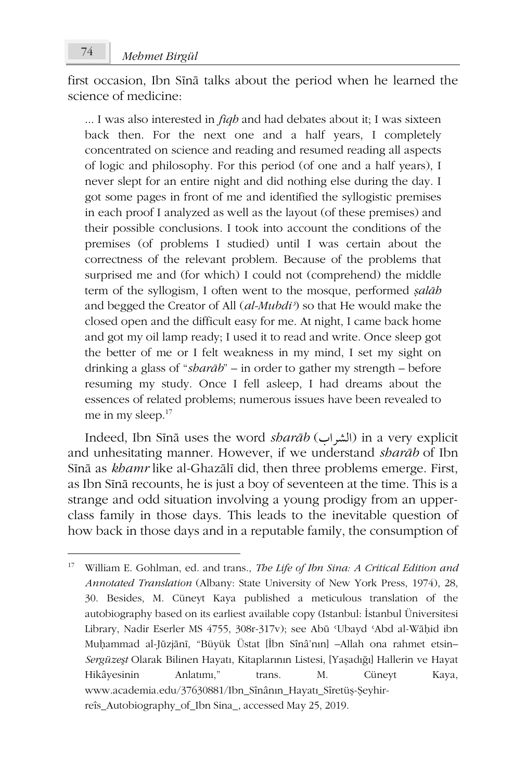first occasion, Ibn Sīnā talks about the period when he learned the science of medicine:

... I was also interested in *fiqh* and had debates about it; I was sixteen back then. For the next one and a half years, I completely concentrated on science and reading and resumed reading all aspects of logic and philosophy. For this period (of one and a half years), I never slept for an entire night and did nothing else during the day. I got some pages in front of me and identified the syllogistic premises in each proof I analyzed as well as the layout (of these premises) and their possible conclusions. I took into account the conditions of the premises (of problems I studied) until I was certain about the correctness of the relevant problem. Because of the problems that surprised me and (for which) I could not (comprehend) the middle term of the syllogism, I often went to the mosque, performed *ṣalāh* and begged the Creator of All (*al-Mubdiʾ*) so that He would make the closed open and the difficult easy for me. At night, I came back home and got my oil lamp ready; I used it to read and write. Once sleep got the better of me or I felt weakness in my mind, I set my sight on drinking a glass of "*sharāb*" – in order to gather my strength – before resuming my study. Once I fell asleep, I had dreams about the essences of related problems; numerous issues have been revealed to me in my sleep.<sup>17</sup>

Indeed, Ibn Sīnā uses the word *sharāb* (الشراب) in a very explicit and unhesitating manner. However, if we understand *sharāb* of Ibn Sīnā as *khamr* like al-Ghazālī did, then three problems emerge. First, as Ibn Sīnā recounts, he is just a boy of seventeen at the time. This is a strange and odd situation involving a young prodigy from an upperclass family in those days. This leads to the inevitable question of how back in those days and in a reputable family, the consumption of

<sup>17</sup> William E. Gohlman, ed. and trans., *The Life of Ibn Sina: A Critical Edition and Annotated Translation* (Albany: State University of New York Press, 1974), 28, 30. Besides, M. Cüneyt Kaya published a meticulous translation of the autobiography based on its earliest available copy (Istanbul: İstanbul Üniversitesi Library, Nadir Eserler MS 4755, 308r-317v); see Abū ʿUbayd ʿAbd al-Wāḥid ibn Muḥammad al-Jūzjānī, "Büyük Üstat [İbn Sînâ'nın] –Allah ona rahmet etsin– *Sergüzeşt* Olarak Bilinen Hayatı, Kitaplarının Listesi, [Yaşadığı] Hallerin ve Hayat Hikâyesinin Anlatımı," trans. M. Cüneyt Kaya, www.academia.edu/37630881/Ibn\_Sînânın\_Hayatı\_Sîretüş-Şeyhirreîs\_Autobiography\_of\_Ibn Sina\_, accessed May 25, 2019.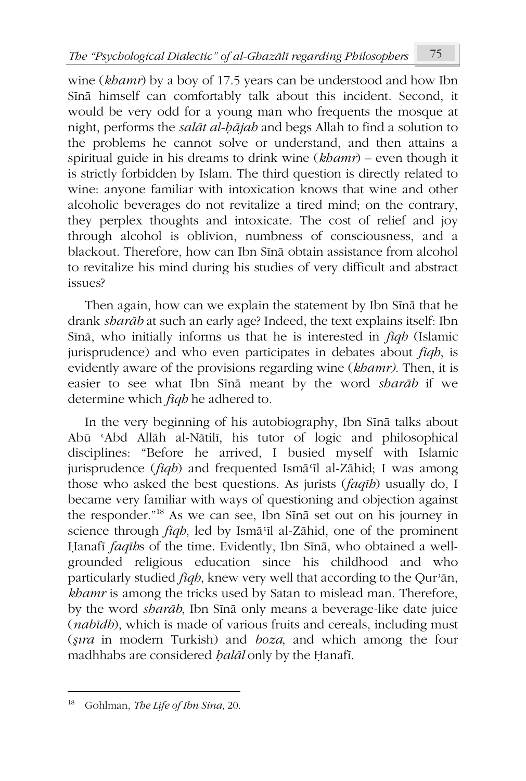wine (*khamr*) by a boy of 17.5 years can be understood and how Ibn Sīnā himself can comfortably talk about this incident. Second, it would be very odd for a young man who frequents the mosque at night, performs the *salāt al-ḥājah* and begs Allah to find a solution to the problems he cannot solve or understand, and then attains a spiritual guide in his dreams to drink wine (*khamr*) – even though it is strictly forbidden by Islam. The third question is directly related to wine: anyone familiar with intoxication knows that wine and other alcoholic beverages do not revitalize a tired mind; on the contrary, they perplex thoughts and intoxicate. The cost of relief and joy through alcohol is oblivion, numbness of consciousness, and a blackout. Therefore, how can Ibn Sīnā obtain assistance from alcohol to revitalize his mind during his studies of very difficult and abstract issues?

Then again, how can we explain the statement by Ibn Sīnā that he drank *sharāb* at such an early age? Indeed, the text explains itself: Ibn Sīnā, who initially informs us that he is interested in *fiqh* (Islamic jurisprudence) and who even participates in debates about *fiqh*, is evidently aware of the provisions regarding wine (*khamr)*. Then, it is easier to see what Ibn Sīnā meant by the word *sharāb* if we determine which *fiqh* he adhered to.

In the very beginning of his autobiography, Ibn Sīnā talks about Abū ʿAbd Allāh al-Nātilī, his tutor of logic and philosophical disciplines: "Before he arrived, I busied myself with Islamic jurisprudence (*fiqh*) and frequented Ismā<sup>*c*</sup>il al-Zāhid; I was among those who asked the best questions. As jurists (*faqīh*) usually do, I became very familiar with ways of questioning and objection against the responder."<sup>18</sup> As we can see, Ibn Sīnā set out on his journey in science through *fiqh*, led by Ismā<sup>*c*</sup>Il al-Zāhid, one of the prominent Ḥanafī *faqīh*s of the time. Evidently, Ibn Sīnā, who obtained a wellgrounded religious education since his childhood and who particularly studied *fiqh*, knew very well that according to the Qurʾān, *khamr* is among the tricks used by Satan to mislead man. Therefore, by the word *sharāb*, Ibn Sīnā only means a beverage-like date juice (*nabīdh*), which is made of various fruits and cereals, including must (*şıra* in modern Turkish) and *boza*, and which among the four madhhabs are considered *ḥalāl* only by the Ḥanafī.

<sup>18</sup> Gohlman, *The Life of Ibn Sina*, 20.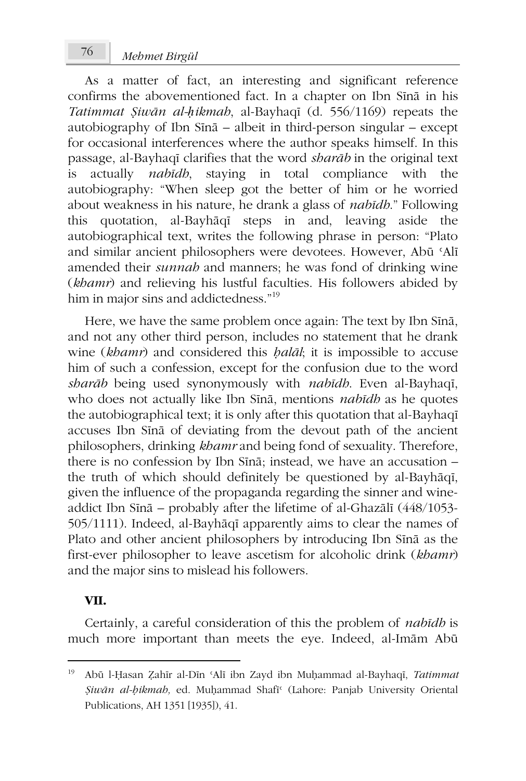*Mehmet Birgül* 76

As a matter of fact, an interesting and significant reference confirms the abovementioned fact. In a chapter on Ibn Sīnā in his *Tatimmat Ṣiwān al-ḥikmah*, al-Bayhaqī (d. 556/1169) repeats the autobiography of Ibn Sīnā – albeit in third-person singular – except for occasional interferences where the author speaks himself. In this passage, al-Bayhaqī clarifies that the word *sharāb* in the original text is actually *nabīdh*, staying in total compliance with the autobiography: "When sleep got the better of him or he worried about weakness in his nature, he drank a glass of *nabīdh*." Following this quotation, al-Bayhāqī steps in and, leaving aside the autobiographical text, writes the following phrase in person: "Plato and similar ancient philosophers were devotees. However, Abū ʿAlī amended their *sunnah* and manners; he was fond of drinking wine (*khamr*) and relieving his lustful faculties. His followers abided by him in major sins and addictedness."<sup>19</sup>

Here, we have the same problem once again: The text by Ibn Sīnā, and not any other third person, includes no statement that he drank wine (*khamr*) and considered this *ḥalāl*; it is impossible to accuse him of such a confession, except for the confusion due to the word *sharāb* being used synonymously with *nabīdh*. Even al-Bayhaqī, who does not actually like Ibn Sīnā, mentions *nabīdh* as he quotes the autobiographical text; it is only after this quotation that al-Bayhaqī accuses Ibn Sīnā of deviating from the devout path of the ancient philosophers, drinking *khamr* and being fond of sexuality. Therefore, there is no confession by Ibn Sīnā; instead, we have an accusation – the truth of which should definitely be questioned by al-Bayhāqī, given the influence of the propaganda regarding the sinner and wineaddict Ibn Sīnā – probably after the lifetime of al-Ghazālī (448/1053- 505/1111). Indeed, al-Bayhāqī apparently aims to clear the names of Plato and other ancient philosophers by introducing Ibn Sīnā as the first-ever philosopher to leave ascetism for alcoholic drink (*khamr*) and the major sins to mislead his followers.

#### **VII.**

Certainly, a careful consideration of this the problem of *nabīdh* is much more important than meets the eye. Indeed, al-Imām Abū

<sup>19</sup> Abū l-Ḥasan Ẓahīr al-Dīn ʿAlī ibn Zayd ibn Muḥammad al-Bayhaqī, *Tatimmat Ṣiwān al-ḥikmah,* ed. Muḥammad Shafīʿ (Lahore: Panjab University Oriental Publications, AH 1351 [1935]), 41.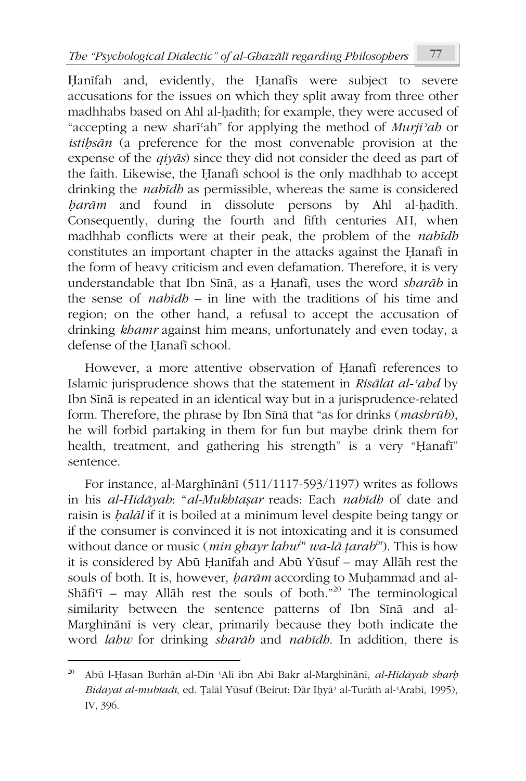Ḥanīfah and, evidently, the Ḥanafīs were subject to severe accusations for the issues on which they split away from three other madhhabs based on Ahl al-ḥadīth; for example, they were accused of "accepting a new sharīʿah" for applying the method of *Murjiʾah* or *istiḥsān* (a preference for the most convenable provision at the expense of the *qiyās*) since they did not consider the deed as part of the faith. Likewise, the Ḥanafī school is the only madhhab to accept drinking the *nabīdh* as permissible, whereas the same is considered *harām* and found in dissolute persons by Ahl al-hadīth. Consequently, during the fourth and fifth centuries AH, when madhhab conflicts were at their peak, the problem of the *nabīdh* constitutes an important chapter in the attacks against the Ḥanafī in the form of heavy criticism and even defamation. Therefore, it is very understandable that Ibn Sīnā, as a Ḥanafī, uses the word *sharāb* in the sense of *nabīdh* – in line with the traditions of his time and region; on the other hand, a refusal to accept the accusation of drinking *khamr* against him means, unfortunately and even today, a defense of the Ḥanafī school.

However, a more attentive observation of Ḥanafī references to Islamic jurisprudence shows that the statement in *Risālat al-ʿahd* by Ibn Sīnā is repeated in an identical way but in a jurisprudence-related form. Therefore, the phrase by Ibn Sīnā that "as for drinks (*mashrūb*), he will forbid partaking in them for fun but maybe drink them for health, treatment, and gathering his strength" is a very "Hanafī" sentence.

For instance, al-Marghīnānī (511/1117-593/1197) writes as follows in his *al-Hidāyah*: "*al-Mukhtaṣar* reads: Each *nabīdh* of date and raisin is *ḥalāl* if it is boiled at a minimum level despite being tangy or if the consumer is convinced it is not intoxicating and it is consumed without dance or music (*min ghayr lahwin wa-lā ṭarabin*). This is how it is considered by Abū Ḥanīfah and Abū Yūsuf – may Allāh rest the souls of both. It is, however, *ḥarām* according to Muḥammad and al-Shāfi'ī – may Allāh rest the souls of both."<sup>20</sup> The terminological similarity between the sentence patterns of Ibn Sīnā and al-Marghīnānī is very clear, primarily because they both indicate the word *lahw* for drinking *sharāb* and *nabīdh*. In addition, there is

<sup>20</sup> Abū l-Ḥasan Burhān al-Dīn ʿAlī ibn Abī Bakr al-Marghīnānī, *al-Hidāyah sharḥ Bidāyat al-mubtadī*, ed. Ṭalāl Yūsuf (Beirut: Dār Iḥyāʾ al-Turāth al-ʿArabī, 1995), IV, 396.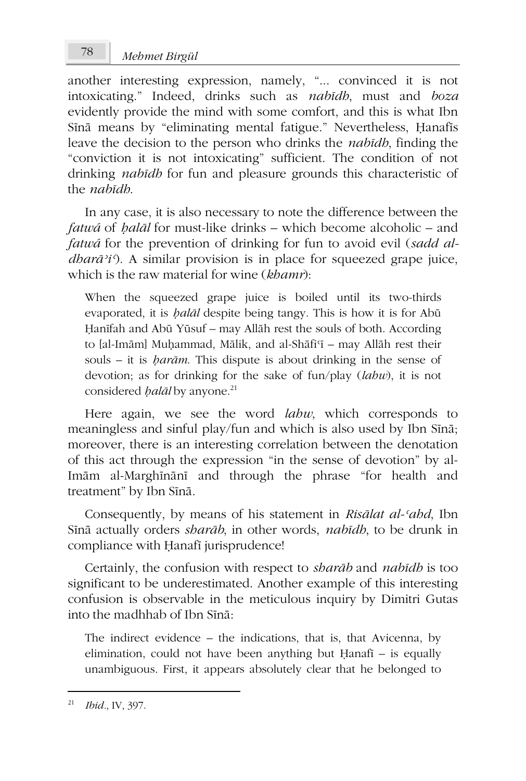another interesting expression, namely, "... convinced it is not intoxicating." Indeed, drinks such as *nabīdh*, must and *boza* evidently provide the mind with some comfort, and this is what Ibn Sīnā means by "eliminating mental fatigue." Nevertheless, Ḥanafīs leave the decision to the person who drinks the *nabīdh*, finding the "conviction it is not intoxicating" sufficient. The condition of not drinking *nabīdh* for fun and pleasure grounds this characteristic of the *nabīdh*.

In any case, it is also necessary to note the difference between the *fatwá* of *ḥalāl* for must-like drinks – which become alcoholic – and *fatwá* for the prevention of drinking for fun to avoid evil (*sadd aldharā'i'*). A similar provision is in place for squeezed grape juice, which is the raw material for wine (*khamr*):

When the squeezed grape juice is boiled until its two-thirds evaporated, it is *ḥalāl* despite being tangy. This is how it is for Abū Ḥanīfah and Abū Yūsuf – may Allāh rest the souls of both. According to [al-Imām] Muḥammad, Mālik, and al-Shāfiʿī – may Allāh rest their souls – it is *ḥarām*. This dispute is about drinking in the sense of devotion; as for drinking for the sake of fun/play (*lahw*), it is not considered *ḥalāl* by anyone.<sup>21</sup>

Here again, we see the word *lahw*, which corresponds to meaningless and sinful play/fun and which is also used by Ibn Sīnā; moreover, there is an interesting correlation between the denotation of this act through the expression "in the sense of devotion" by al-Imām al-Marghīnānī and through the phrase "for health and treatment" by Ibn Sīnā.

Consequently, by means of his statement in *Risālat al-ʿahd*, Ibn Sīnā actually orders *sharāb*, in other words, *nabīdh*, to be drunk in compliance with Ḥanafī jurisprudence!

Certainly, the confusion with respect to *sharāb* and *nabīdh* is too significant to be underestimated. Another example of this interesting confusion is observable in the meticulous inquiry by Dimitri Gutas into the madhhab of Ibn Sīnā:

The indirect evidence – the indications, that is, that Avicenna, by elimination, could not have been anything but Ḥanafī – is equally unambiguous. First, it appears absolutely clear that he belonged to

<sup>21</sup> *Ibid.*, IV, 397.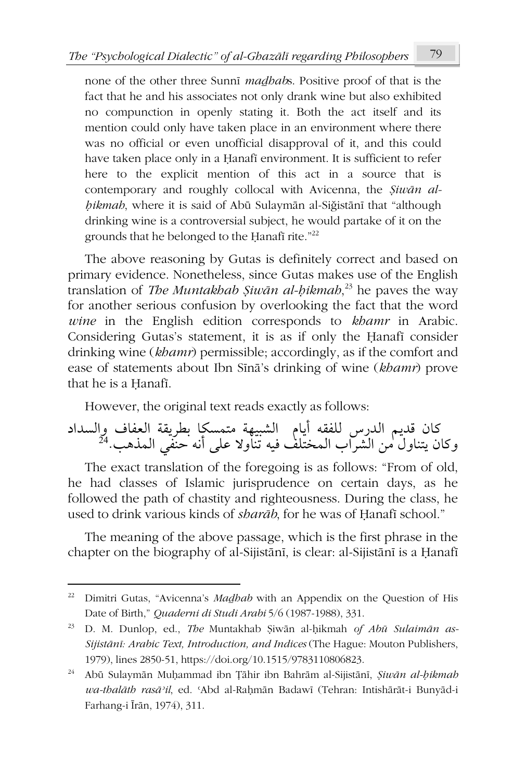none of the other three Sunnī *maḏhab*s. Positive proof of that is the fact that he and his associates not only drank wine but also exhibited no compunction in openly stating it. Both the act itself and its mention could only have taken place in an environment where there was no official or even unofficial disapproval of it, and this could have taken place only in a Ḥanafī environment. It is sufficient to refer here to the explicit mention of this act in a source that is contemporary and roughly collocal with Avicenna, the *Ṣiwān alḥikmah*, where it is said of Abū Sulaymān al-Siǧistānī that "although drinking wine is a controversial subject, he would partake of it on the grounds that he belonged to the Ḥanafī rite."<sup>22</sup>

The above reasoning by Gutas is definitely correct and based on primary evidence. Nonetheless, since Gutas makes use of the English translation of *The Muntakhab Ṣiwān al-ḥikmah*, <sup>23</sup> he paves the way for another serious confusion by overlooking the fact that the word *wine* in the English edition corresponds to *khamr* in Arabic. Considering Gutas's statement, it is as if only the Ḥanafī consider drinking wine (*khamr*) permissible; accordingly, as if the comfort and ease of statements about Ibn Sīnā's drinking of wine (*khamr*) prove that he is a Ḥanafī.

However, the original text reads exactly as follows:

كان قديم الدرس للفقه أيام الشبيهة متمسكا بطريقة العفاف والسداد وكان يتناول من الشراب المختّلف فيه تنّاولا على أنه حنّفي المذهب.<sup>24</sup>

The exact translation of the foregoing is as follows: "From of old, he had classes of Islamic jurisprudence on certain days, as he followed the path of chastity and righteousness. During the class, he used to drink various kinds of *sharāb*, for he was of Ḥanafī school."

The meaning of the above passage, which is the first phrase in the chapter on the biography of al-Sijistānī, is clear: al-Sijistānī is a Ḥanafī

<sup>&</sup>lt;sup>22</sup> Dimitri Gutas, "Avicenna's *Madhab* with an Appendix on the Question of His Date of Birth," *Quaderni di Studi Arabi* 5/6 (1987-1988), 331.

<sup>23</sup> D. M. Dunlop, ed., *The* Muntakhab Ṣiwān al-ḥikmah *of Abū Sulaimān as-Sijistānī: Arabic Text, Introduction, and Indices* (The Hague: Mouton Publishers, 1979), lines 2850-51, https://doi.org/10.1515/9783110806823.

<sup>24</sup> Abū Sulaymān Muḥammad ibn Ṭāhir ibn Bahrām al-Sijistānī, *Ṣiwān al-ḥikmah wa-thalāth rasāʾil*, ed. ʿAbd al-Raḥmān Badawī (Tehran: Intishārāt-i Bunyād-i Farhang-i Īrān, 1974), 311.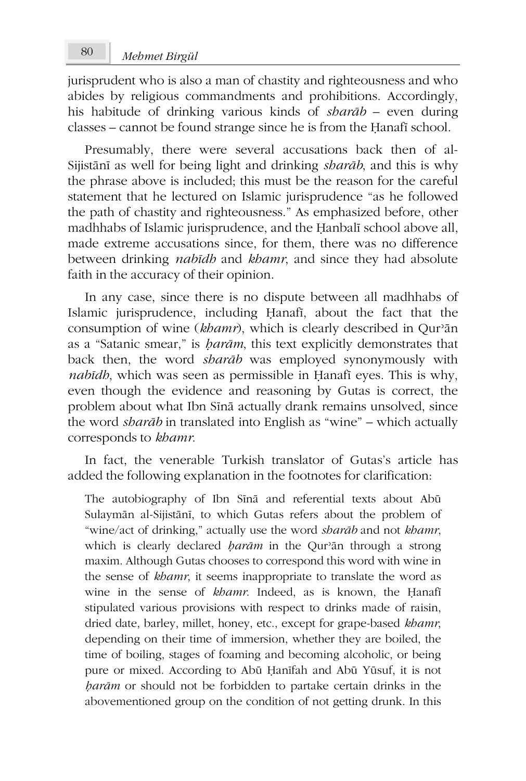jurisprudent who is also a man of chastity and righteousness and who abides by religious commandments and prohibitions. Accordingly, his habitude of drinking various kinds of *sharāb –* even during classes – cannot be found strange since he is from the Ḥanafī school.

Presumably, there were several accusations back then of al-Sijistānī as well for being light and drinking *sharāb*, and this is why the phrase above is included; this must be the reason for the careful statement that he lectured on Islamic jurisprudence "as he followed the path of chastity and righteousness." As emphasized before, other madhhabs of Islamic jurisprudence, and the Ḥanbalī school above all, made extreme accusations since, for them, there was no difference between drinking *nabīdh* and *khamr*, and since they had absolute faith in the accuracy of their opinion.

In any case, since there is no dispute between all madhhabs of Islamic jurisprudence, including Ḥanafī, about the fact that the consumption of wine (*khamr*), which is clearly described in Qurʾān as a "Satanic smear," is *ḥarām*, this text explicitly demonstrates that back then, the word *sharāb* was employed synonymously with *nabīdh*, which was seen as permissible in Ḥanafī eyes. This is why, even though the evidence and reasoning by Gutas is correct, the problem about what Ibn Sīnā actually drank remains unsolved, since the word *sharāb* in translated into English as "wine" – which actually corresponds to *khamr*.

In fact, the venerable Turkish translator of Gutas's article has added the following explanation in the footnotes for clarification:

The autobiography of Ibn Sīnā and referential texts about Abū Sulaymān al-Sijistānī, to which Gutas refers about the problem of "wine/act of drinking," actually use the word *sharāb* and not *khamr*, which is clearly declared *ḥarām* in the Qurʾān through a strong maxim. Although Gutas chooses to correspond this word with wine in the sense of *khamr*, it seems inappropriate to translate the word as wine in the sense of *khamr*. Indeed, as is known, the Ḥanafī stipulated various provisions with respect to drinks made of raisin, dried date, barley, millet, honey, etc., except for grape-based *khamr*, depending on their time of immersion, whether they are boiled, the time of boiling, stages of foaming and becoming alcoholic, or being pure or mixed. According to Abū Ḥanīfah and Abū Yūsuf, it is not *ḥarām* or should not be forbidden to partake certain drinks in the abovementioned group on the condition of not getting drunk. In this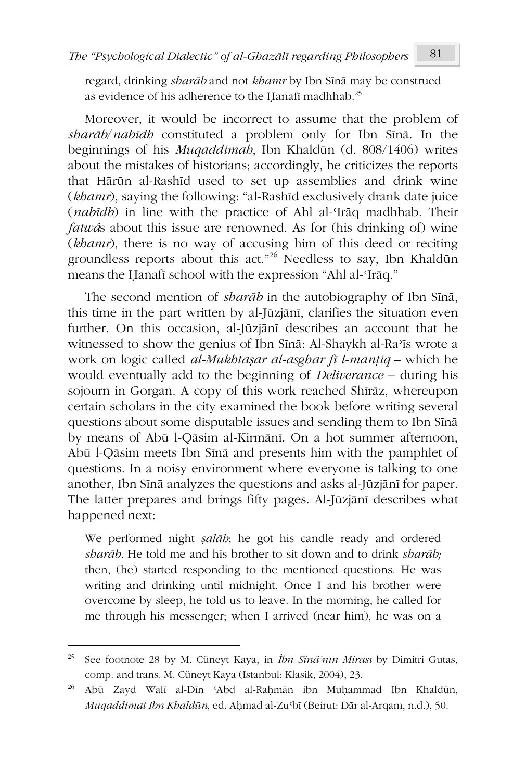regard, drinking *sharāb* and not *khamr* by Ibn Sīnā may be construed as evidence of his adherence to the Hanafi madhhab.<sup>25</sup>

Moreover, it would be incorrect to assume that the problem of *sharāb*/*nabīdh* constituted a problem only for Ibn Sīnā. In the beginnings of his *Muqaddimah*, Ibn Khaldūn (d. 808/1406) writes about the mistakes of historians; accordingly, he criticizes the reports that Hārūn al-Rashīd used to set up assemblies and drink wine (*khamr*), saying the following: "al-Rashīd exclusively drank date juice (*nabīdh*) in line with the practice of Ahl al-ʿIrāq madhhab. Their *fatwá*s about this issue are renowned. As for (his drinking of) wine (*khamr*), there is no way of accusing him of this deed or reciting groundless reports about this act."<sup>26</sup> Needless to say, Ibn Khaldūn means the Ḥanafī school with the expression "Ahl al-ʿIrāq."

The second mention of *sharāb* in the autobiography of Ibn Sīnā, this time in the part written by al-Jūzjānī, clarifies the situation even further. On this occasion, al-Jūzjānī describes an account that he witnessed to show the genius of Ibn Sīnā: Al-Shaykh al-Raʾīs wrote a work on logic called *al-Mukhtaṣar al-asghar fī l-manṭiq* – which he would eventually add to the beginning of *Deliverance –* during his sojourn in Gorgan. A copy of this work reached Shīrāz, whereupon certain scholars in the city examined the book before writing several questions about some disputable issues and sending them to Ibn Sīnā by means of Abū l-Qāsim al-Kirmānī. On a hot summer afternoon, Abū l-Qāsim meets Ibn Sīnā and presents him with the pamphlet of questions. In a noisy environment where everyone is talking to one another, Ibn Sīnā analyzes the questions and asks al-Jūzjānī for paper. The latter prepares and brings fifty pages. Al-Jūzjānī describes what happened next:

We performed night *ṣalāh*; he got his candle ready and ordered *sharāb.* He told me and his brother to sit down and to drink *sharāb;* then, (he) started responding to the mentioned questions. He was writing and drinking until midnight. Once I and his brother were overcome by sleep, he told us to leave. In the morning, he called for me through his messenger; when I arrived (near him), he was on a

<sup>25</sup> See footnote 28 by M. Cüneyt Kaya, in *İbn Sînâ'nın Mirası* by Dimitri Gutas, comp. and trans. M. Cüneyt Kaya (Istanbul: Klasik, 2004), 23.

<sup>26</sup> Abū Zayd Walī al-Dīn ʿAbd al-Raḥmān ibn Muḥammad Ibn Khaldūn, *Muqaddimat Ibn Khaldūn*, ed. Aḥmad al-Zuʿbī (Beirut: Dār al-Arqam, n.d.), 50.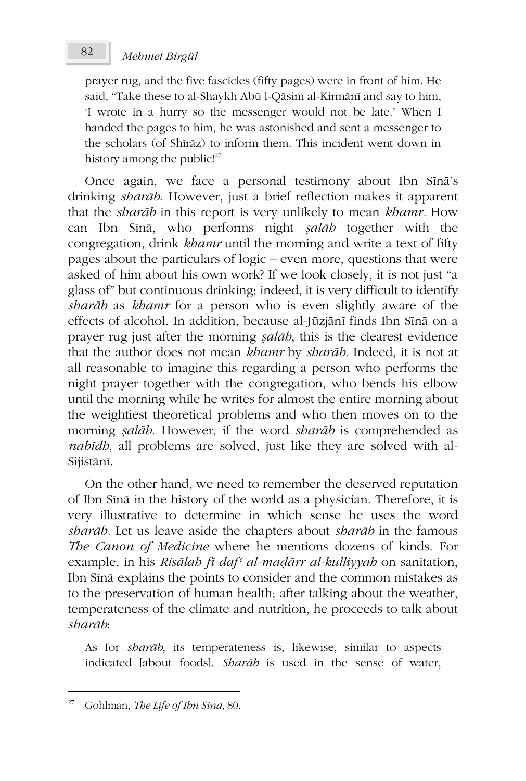prayer rug, and the five fascicles (fifty pages) were in front of him. He said, "Take these to al-Shaykh Abū l-Qāsim al-Kirmānī and say to him, 'I wrote in a hurry so the messenger would not be late.' When I handed the pages to him, he was astonished and sent a messenger to the scholars (of Shīrāz) to inform them. This incident went down in history among the public! $27$ 

Once again, we face a personal testimony about Ibn Sīnā's drinking *sharāb*. However, just a brief reflection makes it apparent that the *sharāb* in this report is very unlikely to mean *khamr.* How can Ibn Sīnā, who performs night *ṣalāh* together with the congregation, drink *khamr* until the morning and write a text of fifty pages about the particulars of logic – even more, questions that were asked of him about his own work? If we look closely, it is not just "a glass of" but continuous drinking; indeed, it is very difficult to identify *sharāb* as *khamr* for a person who is even slightly aware of the effects of alcohol. In addition, because al-Jūzjānī finds Ibn Sīnā on a prayer rug just after the morning *ṣalāh*, this is the clearest evidence that the author does not mean *khamr* by *sharāb.* Indeed, it is not at all reasonable to imagine this regarding a person who performs the night prayer together with the congregation, who bends his elbow until the morning while he writes for almost the entire morning about the weightiest theoretical problems and who then moves on to the morning *ṣalāh*. However, if the word *sharāb* is comprehended as *nabīdh*, all problems are solved, just like they are solved with al-Sijistānī.

On the other hand, we need to remember the deserved reputation of Ibn Sīnā in the history of the world as a physician. Therefore, it is very illustrative to determine in which sense he uses the word *sharāb.* Let us leave aside the chapters about *sharāb* in the famous *The Canon of Medicine* where he mentions dozens of kinds. For example, in his *Risālah fī dafʿ al-maḍārr al-kulliyyah* on sanitation, Ibn Sīnā explains the points to consider and the common mistakes as to the preservation of human health; after talking about the weather, temperateness of the climate and nutrition, he proceeds to talk about *sharāb*:

As for *sharāb*, its temperateness is, likewise, similar to aspects indicated [about foods]. *Sharāb* is used in the sense of water,

<sup>27</sup> Gohlman, *The Life of Ibn Sina*, 80.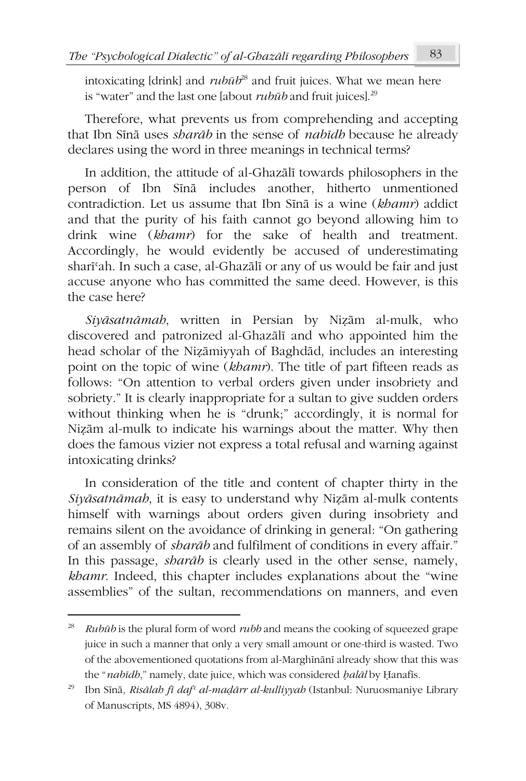intoxicating [drink] and *rubūb* <sup>28</sup> and fruit juices. What we mean here is "water" and the last one [about *rubūb* and fruit juices].<sup>29</sup>

Therefore, what prevents us from comprehending and accepting that Ibn Sīnā uses *sharāb* in the sense of *nabīdh* because he already declares using the word in three meanings in technical terms?

In addition, the attitude of al-Ghazālī towards philosophers in the person of Ibn Sīnā includes another, hitherto unmentioned contradiction. Let us assume that Ibn Sīnā is a wine (*khamr*) addict and that the purity of his faith cannot go beyond allowing him to drink wine (*khamr*) for the sake of health and treatment. Accordingly, he would evidently be accused of underestimating sharīʿah. In such a case, al-Ghazālī or any of us would be fair and just accuse anyone who has committed the same deed. However, is this the case here?

*Siyāsatnāmah*, written in Persian by Niẓām al-mulk, who discovered and patronized al-Ghazālī and who appointed him the head scholar of the Niẓāmiyyah of Baghdād, includes an interesting point on the topic of wine (*khamr*). The title of part fifteen reads as follows: "On attention to verbal orders given under insobriety and sobriety." It is clearly inappropriate for a sultan to give sudden orders without thinking when he is "drunk;" accordingly, it is normal for Niẓām al-mulk to indicate his warnings about the matter. Why then does the famous vizier not express a total refusal and warning against intoxicating drinks?

In consideration of the title and content of chapter thirty in the *Siyāsatnāmah*, it is easy to understand why Niẓām al-mulk contents himself with warnings about orders given during insobriety and remains silent on the avoidance of drinking in general: "On gathering of an assembly of *sharāb* and fulfilment of conditions in every affair." In this passage, *sharāb* is clearly used in the other sense, namely, *khamr*. Indeed, this chapter includes explanations about the "wine assemblies" of the sultan, recommendations on manners, and even

<sup>28</sup> *Rubūb* is the plural form of word *rubb* and means the cooking of squeezed grape juice in such a manner that only a very small amount or one-third is wasted. Two of the abovementioned quotations from al-Marghīnānī already show that this was the "*nabīdh*," namely, date juice, which was considered *ḥalāl* by Ḥanafīs.

<sup>29</sup> Ibn Sīnā, *Risālah fī dafʿ al-maḍārr al-kulliyyah* (Istanbul: Nuruosmaniye Library of Manuscripts, MS 4894), 308v.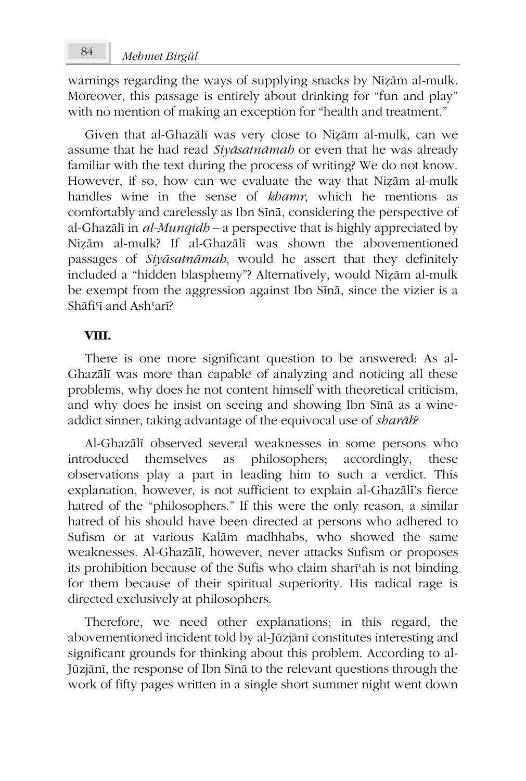# *Mehmet Birgül* 84

warnings regarding the ways of supplying snacks by Niẓām al-mulk. Moreover, this passage is entirely about drinking for "fun and play" with no mention of making an exception for "health and treatment."

Given that al-Ghazālī was very close to Niẓām al-mulk, can we assume that he had read *Siyāsatnāmah* or even that he was already familiar with the text during the process of writing? We do not know. However, if so, how can we evaluate the way that Niẓām al-mulk handles wine in the sense of *khamr*, which he mentions as comfortably and carelessly as Ibn Sīnā, considering the perspective of al-Ghazālī in *al-Munqidh –* a perspective that is highly appreciated by Niẓām al-mulk? If al-Ghazālī was shown the abovementioned passages of *Siyāsatnāmah*, would he assert that they definitely included a "hidden blasphemy"? Alternatively, would Niẓām al-mulk be exempt from the aggression against Ibn Sīnā, since the vizier is a Shāfi<sup>q</sup> and Ash<sup>5</sup>arī?

### **VIII.**

There is one more significant question to be answered: As al-Ghazālī was more than capable of analyzing and noticing all these problems, why does he not content himself with theoretical criticism, and why does he insist on seeing and showing Ibn Sīnā as a wineaddict sinner, taking advantage of the equivocal use of *sharāb*?

Al-Ghazālī observed several weaknesses in some persons who introduced themselves as philosophers; accordingly, these observations play a part in leading him to such a verdict. This explanation, however, is not sufficient to explain al-Ghazālī's fierce hatred of the "philosophers." If this were the only reason, a similar hatred of his should have been directed at persons who adhered to Sufism or at various Kalām madhhabs, who showed the same weaknesses. Al-Ghazālī, however, never attacks Sufism or proposes its prohibition because of the Sufis who claim sharīʿah is not binding for them because of their spiritual superiority. His radical rage is directed exclusively at philosophers.

Therefore, we need other explanations; in this regard, the abovementioned incident told by al-Jūzjānī constitutes interesting and significant grounds for thinking about this problem. According to al-Jūzjānī, the response of Ibn Sīnā to the relevant questions through the work of fifty pages written in a single short summer night went down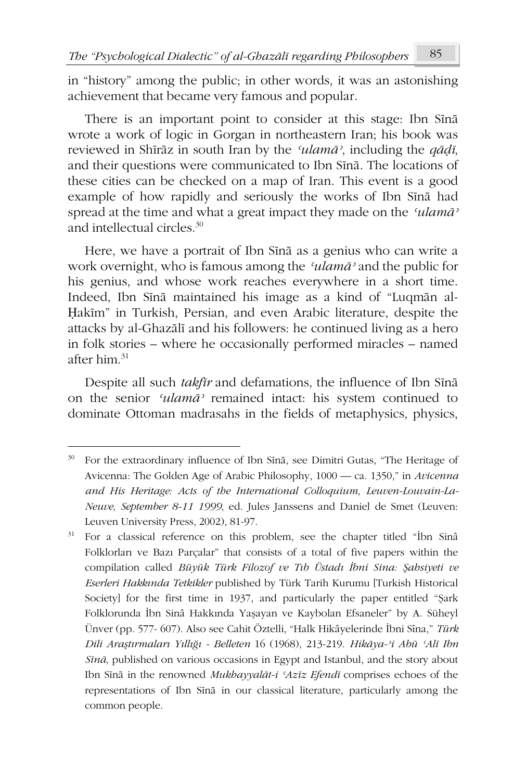in "history" among the public; in other words, it was an astonishing achievement that became very famous and popular.

There is an important point to consider at this stage: Ibn Sīnā wrote a work of logic in Gorgan in northeastern Iran; his book was reviewed in Shīrāz in south Iran by the *ʿulamāʾ*, including the *qāḍī*, and their questions were communicated to Ibn Sīnā. The locations of these cities can be checked on a map of Iran. This event is a good example of how rapidly and seriously the works of Ibn Sīnā had spread at the time and what a great impact they made on the *ʿulamāʾ* and intellectual circles.<sup>30</sup>

Here, we have a portrait of Ibn Sīnā as a genius who can write a work overnight, who is famous among the *ʿulamāʾ* and the public for his genius, and whose work reaches everywhere in a short time. Indeed, Ibn Sīnā maintained his image as a kind of "Luqmān al-Ḥakīm" in Turkish, Persian, and even Arabic literature, despite the attacks by al-Ghazālī and his followers: he continued living as a hero in folk stories – where he occasionally performed miracles – named after him $31$ 

Despite all such *takfīr* and defamations, the influence of Ibn Sīnā on the senior *ʿulamāʾ* remained intact: his system continued to dominate Ottoman madrasahs in the fields of metaphysics, physics,

<sup>30</sup> For the extraordinary influence of Ibn Sīnā, see Dimitri Gutas, "The Heritage of Avicenna: The Golden Age of Arabic Philosophy, 1000 — ca. 1350," in *Avicenna and His Heritage: Acts of the International Colloquium*, *Leuven-Louvain-La-Neuve, September 8-11 1999*, ed. Jules Janssens and Daniel de Smet (Leuven: Leuven University Press, 2002), 81-97.

<sup>&</sup>lt;sup>31</sup> For a classical reference on this problem, see the chapter titled "Ibn Sinâ Folklorları ve Bazı Parçalar" that consists of a total of five papers within the compilation called *Büyük Türk Filozof ve Tıb Üstadı İbni Sina: Şahsiyeti ve Eserleri Hakkında Tetkikler* published by Türk Tarih Kurumu [Turkish Historical Society] for the first time in 1937, and particularly the paper entitled "Şark Folklorunda İbn Sinâ Hakkında Yaşayan ve Kaybolan Efsaneler" by A. Süheyl Ünver (pp. 577- 607). Also see Cahit Öztelli, "Halk Hikâyelerinde İbni Sîna," *Türk Dili Araştırmaları Yıllığı - Belleten* 16 (1968), 213-219. *Hikāya-ʾi Abū ʿAlī Ibn Sīnā*, published on various occasions in Egypt and Istanbul, and the story about Ibn Sīnā in the renowned *Mukhayyalāt-i ʿAzīz Efendī* comprises echoes of the representations of Ibn Sīnā in our classical literature, particularly among the common people.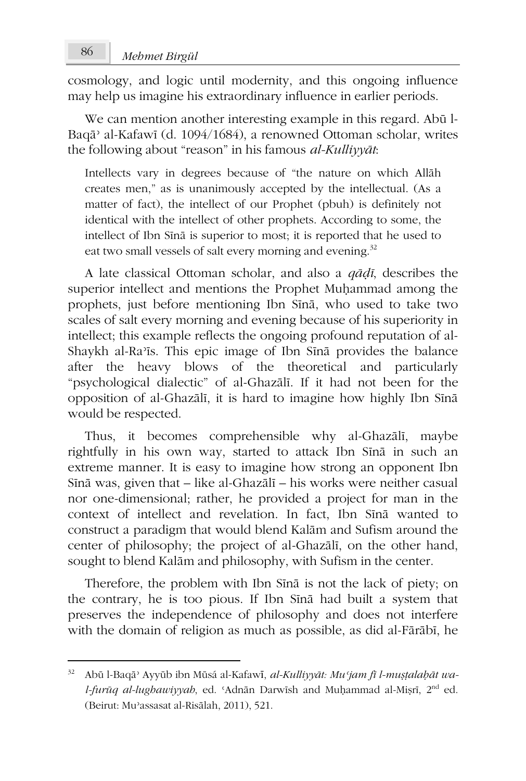cosmology, and logic until modernity, and this ongoing influence may help us imagine his extraordinary influence in earlier periods.

We can mention another interesting example in this regard. Abū l-Baqāʾ al-Kafawī (d. 1094/1684), a renowned Ottoman scholar, writes the following about "reason" in his famous *al-Kulliyyāt*:

Intellects vary in degrees because of "the nature on which Allāh creates men," as is unanimously accepted by the intellectual. (As a matter of fact), the intellect of our Prophet (pbuh) is definitely not identical with the intellect of other prophets. According to some, the intellect of Ibn Sīnā is superior to most; it is reported that he used to eat two small vessels of salt every morning and evening.<sup>32</sup>

A late classical Ottoman scholar, and also a *qāḍī*, describes the superior intellect and mentions the Prophet Muḥammad among the prophets, just before mentioning Ibn Sīnā, who used to take two scales of salt every morning and evening because of his superiority in intellect; this example reflects the ongoing profound reputation of al-Shaykh al-Raʾīs. This epic image of Ibn Sīnā provides the balance after the heavy blows of the theoretical and particularly "psychological dialectic" of al-Ghazālī. If it had not been for the opposition of al-Ghazālī, it is hard to imagine how highly Ibn Sīnā would be respected.

Thus, it becomes comprehensible why al-Ghazālī, maybe rightfully in his own way, started to attack Ibn Sīnā in such an extreme manner. It is easy to imagine how strong an opponent Ibn Sīnā was, given that – like al-Ghazālī – his works were neither casual nor one-dimensional; rather, he provided a project for man in the context of intellect and revelation. In fact, Ibn Sīnā wanted to construct a paradigm that would blend Kalām and Sufism around the center of philosophy; the project of al-Ghazālī, on the other hand, sought to blend Kalām and philosophy, with Sufism in the center.

Therefore, the problem with Ibn Sīnā is not the lack of piety; on the contrary, he is too pious. If Ibn Sīnā had built a system that preserves the independence of philosophy and does not interfere with the domain of religion as much as possible, as did al-Fārābī, he

<sup>32</sup> Abū l-Baqāʾ Ayyūb ibn Mūsá al-Kafawī, *al-Kulliyyāt: Muʿjam fī l-muṣṭalaḥāt wal-furūq al-lughawiyyah*, ed. ʿAdnān Darwīsh and Muḥammad al-Miṣrī, 2nd ed. (Beirut: Muʾassasat al-Risālah, 2011), 521.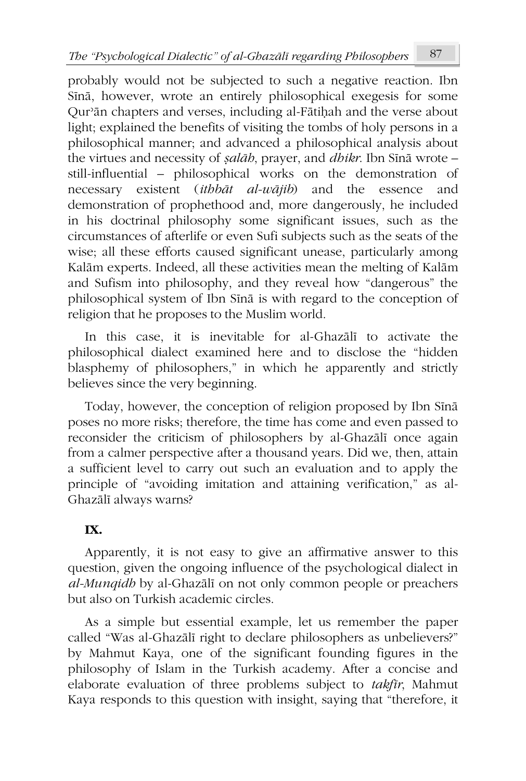probably would not be subjected to such a negative reaction. Ibn Sīnā, however, wrote an entirely philosophical exegesis for some Qurʾān chapters and verses, including al-Fātiḥah and the verse about light; explained the benefits of visiting the tombs of holy persons in a philosophical manner; and advanced a philosophical analysis about the virtues and necessity of *ṣalāh*, prayer, and *dhikr*. Ibn Sīnā wrote – still-influential – philosophical works on the demonstration of necessary existent (*ithbāt al-wājib*) and the essence and demonstration of prophethood and, more dangerously, he included in his doctrinal philosophy some significant issues, such as the circumstances of afterlife or even Sufi subjects such as the seats of the wise; all these efforts caused significant unease, particularly among Kalām experts. Indeed, all these activities mean the melting of Kalām and Sufism into philosophy, and they reveal how "dangerous" the philosophical system of Ibn Sīnā is with regard to the conception of religion that he proposes to the Muslim world.

In this case, it is inevitable for al-Ghazālī to activate the philosophical dialect examined here and to disclose the "hidden blasphemy of philosophers," in which he apparently and strictly believes since the very beginning.

Today, however, the conception of religion proposed by Ibn Sīnā poses no more risks; therefore, the time has come and even passed to reconsider the criticism of philosophers by al-Ghazālī once again from a calmer perspective after a thousand years. Did we, then, attain a sufficient level to carry out such an evaluation and to apply the principle of "avoiding imitation and attaining verification," as al-Ghazālī always warns?

## **IX.**

Apparently, it is not easy to give an affirmative answer to this question, given the ongoing influence of the psychological dialect in *al-Munqidh* by al-Ghazālī on not only common people or preachers but also on Turkish academic circles.

As a simple but essential example, let us remember the paper called "Was al-Ghazālī right to declare philosophers as unbelievers?" by Mahmut Kaya, one of the significant founding figures in the philosophy of Islam in the Turkish academy. After a concise and elaborate evaluation of three problems subject to *takfīr*, Mahmut Kaya responds to this question with insight, saying that "therefore, it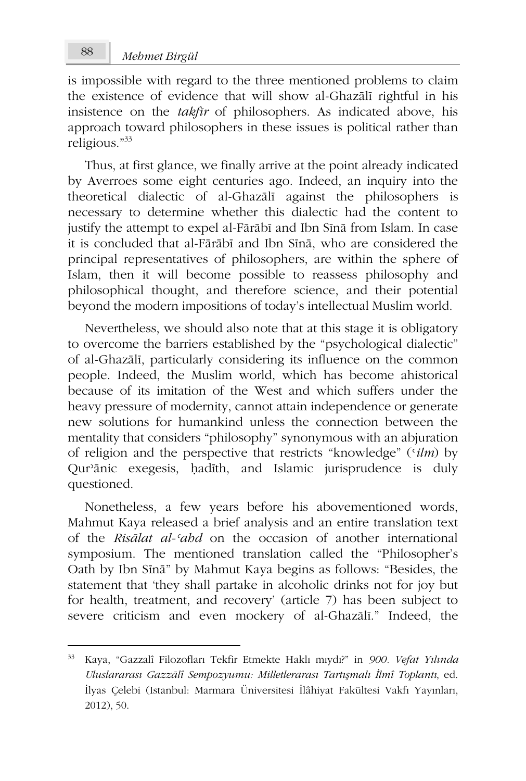is impossible with regard to the three mentioned problems to claim the existence of evidence that will show al-Ghazālī rightful in his insistence on the *takfīr* of philosophers. As indicated above, his approach toward philosophers in these issues is political rather than religious."<sup>33</sup>

Thus, at first glance, we finally arrive at the point already indicated by Averroes some eight centuries ago. Indeed, an inquiry into the theoretical dialectic of al-Ghazālī against the philosophers is necessary to determine whether this dialectic had the content to justify the attempt to expel al-Fārābī and Ibn Sīnā from Islam. In case it is concluded that al-Fārābī and Ibn Sīnā, who are considered the principal representatives of philosophers, are within the sphere of Islam, then it will become possible to reassess philosophy and philosophical thought, and therefore science, and their potential beyond the modern impositions of today's intellectual Muslim world.

Nevertheless, we should also note that at this stage it is obligatory to overcome the barriers established by the "psychological dialectic" of al-Ghazālī, particularly considering its influence on the common people. Indeed, the Muslim world, which has become ahistorical because of its imitation of the West and which suffers under the heavy pressure of modernity, cannot attain independence or generate new solutions for humankind unless the connection between the mentality that considers "philosophy" synonymous with an abjuration of religion and the perspective that restricts "knowledge" (ʿ*ilm*) by Qurʾānic exegesis, ḥadīth, and Islamic jurisprudence is duly questioned.

Nonetheless, a few years before his abovementioned words, Mahmut Kaya released a brief analysis and an entire translation text of the *Risālat al-ʿahd* on the occasion of another international symposium. The mentioned translation called the "Philosopher's Oath by Ibn Sīnā" by Mahmut Kaya begins as follows: "Besides, the statement that 'they shall partake in alcoholic drinks not for joy but for health, treatment, and recovery' (article 7) has been subject to severe criticism and even mockery of al-Ghazālī." Indeed, the

<sup>33</sup> Kaya, "Gazzalî Filozofları Tekfir Etmekte Haklı mıydı?" in *900. Vefat Yılında Uluslararası Gazzālî Sempozyumu: Milletlerarası Tartışmalı İlmî Toplantı*, ed. İlyas Çelebi (Istanbul: Marmara Üniversitesi İlâhiyat Fakültesi Vakfı Yayınları, 2012), 50.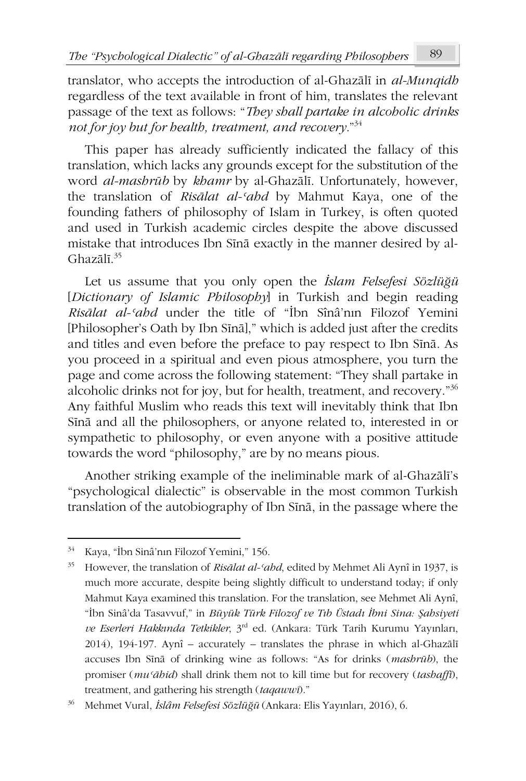translator, who accepts the introduction of al-Ghazālī in *al-Munqidh* regardless of the text available in front of him, translates the relevant passage of the text as follows: "*They shall partake in alcoholic drinks not for joy but for health, treatment, and recovery.*" 34

This paper has already sufficiently indicated the fallacy of this translation, which lacks any grounds except for the substitution of the word *al-mashrūb* by *khamr* by al-Ghazālī. Unfortunately, however, the translation of *Risālat al-ʿahd* by Mahmut Kaya, one of the founding fathers of philosophy of Islam in Turkey, is often quoted and used in Turkish academic circles despite the above discussed mistake that introduces Ibn Sīnā exactly in the manner desired by al-Ghazālī. 35

Let us assume that you only open the *İslam Felsefesi Sözlüğü* [*Dictionary of Islamic Philosophy*] in Turkish and begin reading *Risālat al-ʿahd* under the title of "İbn Sînâ'nın Filozof Yemini [Philosopher's Oath by Ibn Sīnā]," which is added just after the credits and titles and even before the preface to pay respect to Ibn Sīnā. As you proceed in a spiritual and even pious atmosphere, you turn the page and come across the following statement: "They shall partake in alcoholic drinks not for joy, but for health, treatment, and recovery."<sup>36</sup> Any faithful Muslim who reads this text will inevitably think that Ibn Sīnā and all the philosophers, or anyone related to, interested in or sympathetic to philosophy, or even anyone with a positive attitude towards the word "philosophy," are by no means pious.

Another striking example of the ineliminable mark of al-Ghazālī's "psychological dialectic" is observable in the most common Turkish translation of the autobiography of Ibn Sīnā, in the passage where the

<sup>34</sup> Kaya, "İbn Sinâ'nın Filozof Yemini," 156.

<sup>35</sup> However, the translation of *Risālat al-ʿahd*, edited by Mehmet Ali Aynî in 1937, is much more accurate, despite being slightly difficult to understand today; if only Mahmut Kaya examined this translation. For the translation, see Mehmet Ali Aynî, "İbn Sinâ'da Tasavvuf," in *Büyük Türk Filozof ve Tıb Üstadı İbni Sina: Şahsiyeti ve Eserleri Hakkında Tetkikler*, 3rd ed. (Ankara: Türk Tarih Kurumu Yayınları, 2014), 194-197. Aynî – accurately – translates the phrase in which al-Ghazālī accuses Ibn Sīnā of drinking wine as follows: "As for drinks (*mashrūb*), the promiser (*muʿāhid*) shall drink them not to kill time but for recovery (*tashaffī*), treatment, and gathering his strength (*taqawwī*)."

<sup>36</sup> Mehmet Vural, *İslâm Felsefesi Sözlüğü* (Ankara: Elis Yayınları, 2016), 6.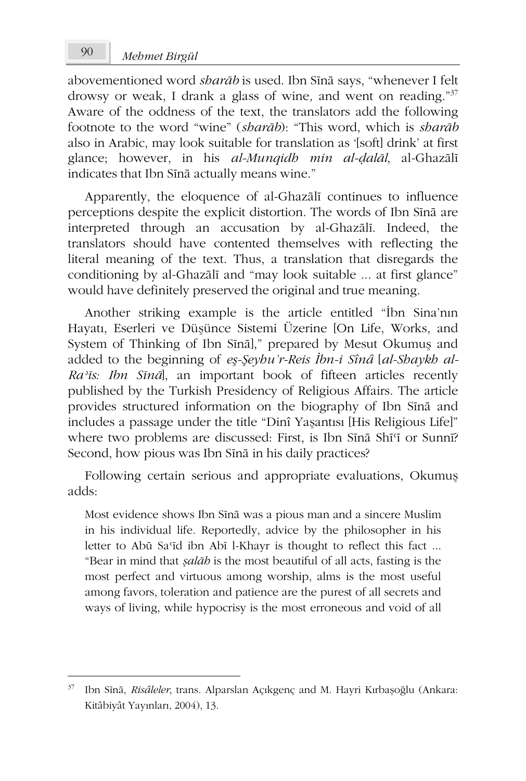abovementioned word *sharāb* is used. Ibn Sīnā says, "whenever I felt drowsy or weak, I drank a glass of wine*,* and went on reading."<sup>37</sup> Aware of the oddness of the text, the translators add the following footnote to the word "wine" (*sharāb*): "This word, which is *sharāb* also in Arabic, may look suitable for translation as '[soft] drink' at first glance; however, in his *al-Munqidh min al-ḍalāl*, al-Ghazālī indicates that Ibn Sīnā actually means wine."

Apparently, the eloquence of al-Ghazālī continues to influence perceptions despite the explicit distortion. The words of Ibn Sīnā are interpreted through an accusation by al-Ghazālī. Indeed, the translators should have contented themselves with reflecting the literal meaning of the text. Thus, a translation that disregards the conditioning by al-Ghazālī and "may look suitable ... at first glance" would have definitely preserved the original and true meaning.

Another striking example is the article entitled "İbn Sina'nın Hayatı, Eserleri ve Düşünce Sistemi Üzerine [On Life, Works, and System of Thinking of Ibn Sīnā]," prepared by Mesut Okumuş and added to the beginning of *eş-Şeyhu'r-Reis İbn-i Sînâ* [*al-Shaykh al-Raʾīs: Ibn Sīnā*], an important book of fifteen articles recently published by the Turkish Presidency of Religious Affairs. The article provides structured information on the biography of Ibn Sīnā and includes a passage under the title "Dinî Yaşantısı [His Religious Life]" where two problems are discussed: First, is Ibn Sīnā Shī'ī or Sunnī? Second, how pious was Ibn Sīnā in his daily practices?

Following certain serious and appropriate evaluations, Okumuş adds:

Most evidence shows Ibn Sīnā was a pious man and a sincere Muslim in his individual life. Reportedly, advice by the philosopher in his letter to Abū Sa'īd ibn Abī l-Khayr is thought to reflect this fact ... "Bear in mind that *ṣalāh* is the most beautiful of all acts, fasting is the most perfect and virtuous among worship, alms is the most useful among favors, toleration and patience are the purest of all secrets and ways of living, while hypocrisy is the most erroneous and void of all

<sup>37</sup> Ibn Sīnā, *Risâleler*, trans. Alparslan Açıkgenç and M. Hayri Kırbaşoğlu (Ankara: Kitâbiyât Yayınları, 2004), 13.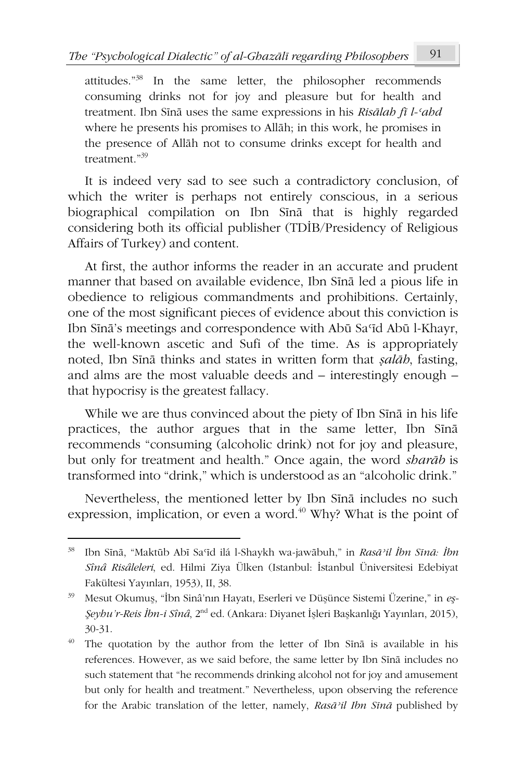attitudes."<sup>38</sup> In the same letter, the philosopher recommends consuming drinks not for joy and pleasure but for health and treatment. Ibn Sīnā uses the same expressions in his *Risālah fī l-ʿahd* where he presents his promises to Allāh; in this work, he promises in the presence of Allāh not to consume drinks except for health and treatment."39

It is indeed very sad to see such a contradictory conclusion, of which the writer is perhaps not entirely conscious, in a serious biographical compilation on Ibn Sīnā that is highly regarded considering both its official publisher (TDİB/Presidency of Religious Affairs of Turkey) and content.

At first, the author informs the reader in an accurate and prudent manner that based on available evidence, Ibn Sīnā led a pious life in obedience to religious commandments and prohibitions. Certainly, one of the most significant pieces of evidence about this conviction is Ibn Sīnā's meetings and correspondence with Abū Saʿīd Abū l-Khayr, the well-known ascetic and Sufi of the time. As is appropriately noted, Ibn Sīnā thinks and states in written form that *ṣalāh*, fasting, and alms are the most valuable deeds and – interestingly enough – that hypocrisy is the greatest fallacy.

While we are thus convinced about the piety of Ibn Sīnā in his life practices, the author argues that in the same letter, Ibn Sīnā recommends "consuming (alcoholic drink) not for joy and pleasure, but only for treatment and health." Once again, the word *sharāb* is transformed into "drink," which is understood as an "alcoholic drink."

Nevertheless, the mentioned letter by Ibn Sīnā includes no such expression, implication, or even a word. $^{40}$  Why? What is the point of

<sup>38</sup> Ibn Sīnā, "Maktūb Abī Saʿīd ilá l-Shaykh wa-jawābuh," in *Rasāʾil İbn Sīnā: İbn Sînâ Risâleleri*, ed. Hilmi Ziya Ülken (Istanbul: İstanbul Üniversitesi Edebiyat Fakültesi Yayınları, 1953), II, 38.

<sup>39</sup> Mesut Okumuş, "İbn Sinâ'nın Hayatı, Eserleri ve Düşünce Sistemi Üzerine," in *eş-Şeyhu'r-Reis İbn-i Sînâ*, 2nd ed. (Ankara: Diyanet İşleri Başkanlığı Yayınları, 2015), 30-31.

<sup>&</sup>lt;sup>40</sup> The quotation by the author from the letter of Ibn Sina is available in his references. However, as we said before, the same letter by Ibn Sīnā includes no such statement that "he recommends drinking alcohol not for joy and amusement but only for health and treatment." Nevertheless, upon observing the reference for the Arabic translation of the letter, namely, *Rasāʾil Ibn Sīnā* published by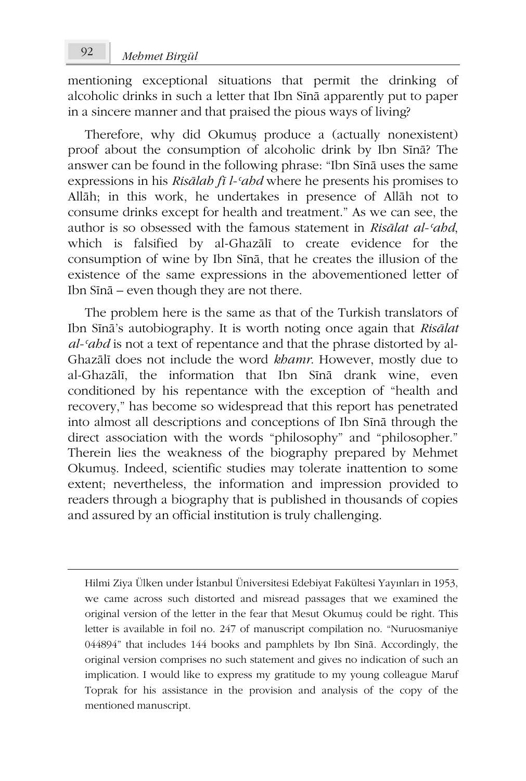mentioning exceptional situations that permit the drinking of alcoholic drinks in such a letter that Ibn Sīnā apparently put to paper in a sincere manner and that praised the pious ways of living?

Therefore, why did Okumuş produce a (actually nonexistent) proof about the consumption of alcoholic drink by Ibn Sīnā? The answer can be found in the following phrase: "Ibn Sīnā uses the same expressions in his *Risālah fī l-ʿahd* where he presents his promises to Allāh; in this work, he undertakes in presence of Allāh not to consume drinks except for health and treatment." As we can see, the author is so obsessed with the famous statement in *Risālat al-ʿahd*, which is falsified by al-Ghazālī to create evidence for the consumption of wine by Ibn Sīnā, that he creates the illusion of the existence of the same expressions in the abovementioned letter of Ibn Sīnā – even though they are not there.

The problem here is the same as that of the Turkish translators of Ibn Sīnā's autobiography. It is worth noting once again that *Risālat al-ʿahd* is not a text of repentance and that the phrase distorted by al-Ghazālī does not include the word *khamr*. However, mostly due to al-Ghazālī, the information that Ibn Sīnā drank wine, even conditioned by his repentance with the exception of "health and recovery," has become so widespread that this report has penetrated into almost all descriptions and conceptions of Ibn Sīnā through the direct association with the words "philosophy" and "philosopher." Therein lies the weakness of the biography prepared by Mehmet Okumuş. Indeed, scientific studies may tolerate inattention to some extent; nevertheless, the information and impression provided to readers through a biography that is published in thousands of copies and assured by an official institution is truly challenging.

Hilmi Ziya Ülken under İstanbul Üniversitesi Edebiyat Fakültesi Yayınları in 1953, we came across such distorted and misread passages that we examined the original version of the letter in the fear that Mesut Okumuş could be right. This letter is available in foil no. 247 of manuscript compilation no. "Nuruosmaniye 044894" that includes 144 books and pamphlets by Ibn Sīnā. Accordingly, the original version comprises no such statement and gives no indication of such an implication. I would like to express my gratitude to my young colleague Maruf Toprak for his assistance in the provision and analysis of the copy of the mentioned manuscript.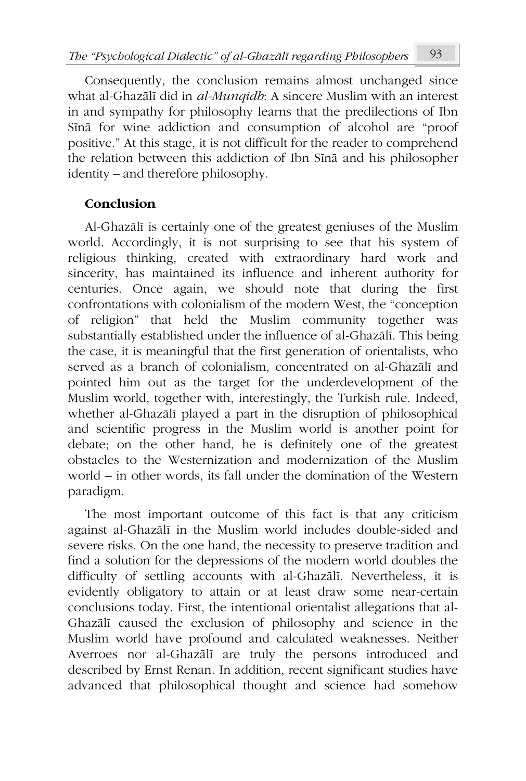Consequently, the conclusion remains almost unchanged since what al-Ghazālī did in *al-Munqidh*: A sincere Muslim with an interest in and sympathy for philosophy learns that the predilections of Ibn Sīnā for wine addiction and consumption of alcohol are "proof positive." At this stage, it is not difficult for the reader to comprehend the relation between this addiction of Ibn Sīnā and his philosopher identity – and therefore philosophy.

## **Conclusion**

Al-Ghazālī is certainly one of the greatest geniuses of the Muslim world. Accordingly, it is not surprising to see that his system of religious thinking, created with extraordinary hard work and sincerity, has maintained its influence and inherent authority for centuries. Once again, we should note that during the first confrontations with colonialism of the modern West, the "conception of religion" that held the Muslim community together was substantially established under the influence of al-Ghazālī. This being the case, it is meaningful that the first generation of orientalists, who served as a branch of colonialism, concentrated on al-Ghazālī and pointed him out as the target for the underdevelopment of the Muslim world, together with, interestingly, the Turkish rule. Indeed, whether al-Ghazālī played a part in the disruption of philosophical and scientific progress in the Muslim world is another point for debate; on the other hand, he is definitely one of the greatest obstacles to the Westernization and modernization of the Muslim world – in other words, its fall under the domination of the Western paradigm.

The most important outcome of this fact is that any criticism against al-Ghazālī in the Muslim world includes double-sided and severe risks. On the one hand, the necessity to preserve tradition and find a solution for the depressions of the modern world doubles the difficulty of settling accounts with al-Ghazālī. Nevertheless, it is evidently obligatory to attain or at least draw some near-certain conclusions today. First, the intentional orientalist allegations that al-Ghazālī caused the exclusion of philosophy and science in the Muslim world have profound and calculated weaknesses. Neither Averroes nor al-Ghazālī are truly the persons introduced and described by Ernst Renan. In addition, recent significant studies have advanced that philosophical thought and science had somehow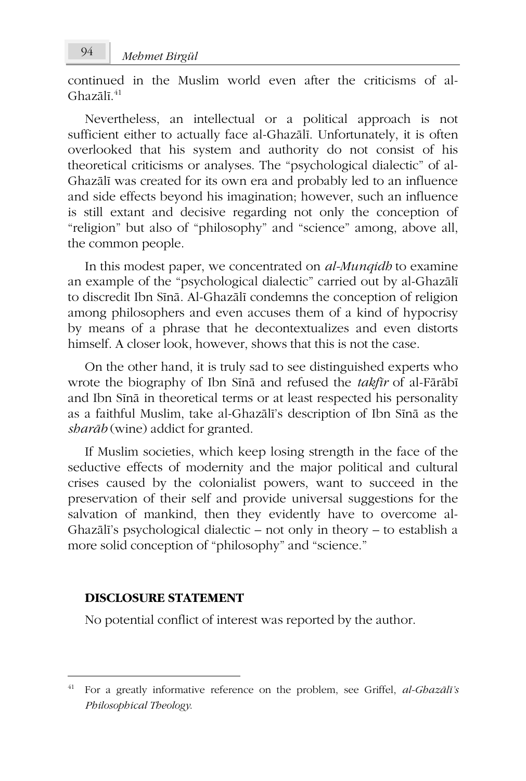continued in the Muslim world even after the criticisms of al-Ghazālī. 41

Nevertheless, an intellectual or a political approach is not sufficient either to actually face al-Ghazālī. Unfortunately, it is often overlooked that his system and authority do not consist of his theoretical criticisms or analyses. The "psychological dialectic" of al-Ghazālī was created for its own era and probably led to an influence and side effects beyond his imagination; however, such an influence is still extant and decisive regarding not only the conception of "religion" but also of "philosophy" and "science" among, above all, the common people.

In this modest paper, we concentrated on *al-Munqidh* to examine an example of the "psychological dialectic" carried out by al-Ghazālī to discredit Ibn Sīnā. Al-Ghazālī condemns the conception of religion among philosophers and even accuses them of a kind of hypocrisy by means of a phrase that he decontextualizes and even distorts himself. A closer look, however, shows that this is not the case.

On the other hand, it is truly sad to see distinguished experts who wrote the biography of Ibn Sīnā and refused the *takfīr* of al-Fārābī and Ibn Sīnā in theoretical terms or at least respected his personality as a faithful Muslim, take al-Ghazālī's description of Ibn Sīnā as the *sharāb* (wine) addict for granted.

If Muslim societies, which keep losing strength in the face of the seductive effects of modernity and the major political and cultural crises caused by the colonialist powers, want to succeed in the preservation of their self and provide universal suggestions for the salvation of mankind, then they evidently have to overcome al-Ghazālī's psychological dialectic – not only in theory – to establish a more solid conception of "philosophy" and "science."

#### **DISCLOSURE STATEMENT**

No potential conflict of interest was reported by the author.

<sup>41</sup> For a greatly informative reference on the problem, see Griffel, *al-Ghazālī's Philosophical Theology*.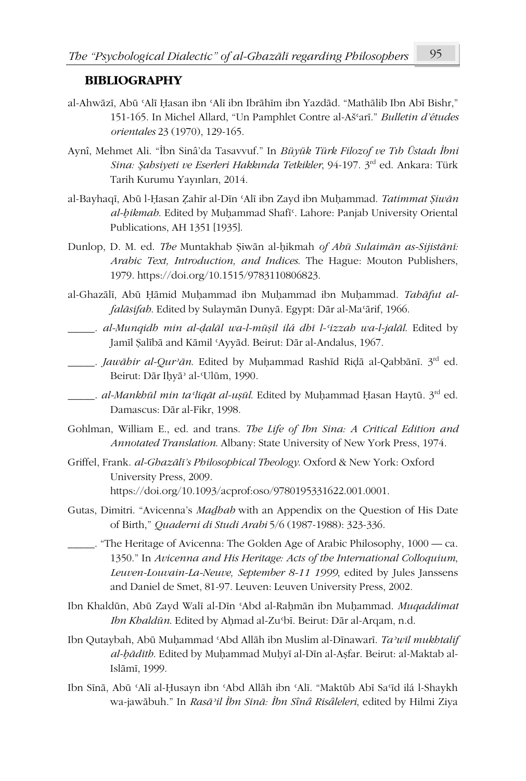#### **BIBLIOGRAPHY**

- al-Ahwāzī, Abū ʿAlī Ḥasan ibn ʿAlī ibn Ibrāhīm ibn Yazdād. "Mathālib Ibn Abī Bishr," 151-165. In Michel Allard, "Un Pamphlet Contre al-Ašʿarī." *Bulletin d'études orientales* 23 (1970), 129-165.
- Aynî, Mehmet Ali. "İbn Sinâ'da Tasavvuf." In *Büyük Türk Filozof ve Tıb Üstadı İbni Sina: Şahsiyeti ve Eserleri Hakkında Tetkikler*, 94-197. 3rd ed. Ankara: Türk Tarih Kurumu Yayınları, 2014.
- al-Bayhaqī, Abū l-Ḥasan Ẓahīr al-Dīn ʿAlī ibn Zayd ibn Muḥammad. *Tatimmat Ṣiwān al-ḥikmah*. Edited by Muḥammad Shafīʿ. Lahore: Panjab University Oriental Publications, AH 1351 [1935].
- Dunlop, D. M. ed. *The* Muntakhab Ṣiwān al-ḥikmah *of Abū Sulaimān as-Sijistānī: Arabic Text, Introduction, and Indices*. The Hague: Mouton Publishers, 1979. https://doi.org/10.1515/9783110806823.
- al-Ghazālī, Abū Ḥāmid Muḥammad ibn Muḥammad ibn Muḥammad. *Tahāfut alfalāsifah*. Edited by Sulaymān Dunyā. Egypt: Dār al-Maʿārif, 1966.
- \_\_\_\_\_. *al-Munqidh min al-ḍalāl wa-l-mūṣil ilá dhī l-ʿizzah wa-l-jalāl*. Edited by Jamīl Ṣalībā and Kāmil ʿAyyād. Beirut: Dār al-Andalus, 1967.
- \_\_\_\_\_. *Jawāhir al-Qurʾān*. Edited by Muḥammad Rashīd Riḍā al-Qabbānī. 3rd ed. Beirut: Dār Iḥyāʾ al-ʿUlūm, 1990.
- \_\_\_\_\_. *al-Mankhūl min taʿlīqāt al-uṣūl*. Edited by Muḥammad Ḥasan Haytū. 3rd ed. Damascus: Dār al-Fikr, 1998.
- Gohlman, William E., ed. and trans. *The Life of Ibn Sina: A Critical Edition and Annotated Translation*. Albany: State University of New York Press, 1974.
- Griffel, Frank. *al-Ghazālī's Philosophical Theology*. Oxford & New York: Oxford University Press, 2009. https://doi.org/10.1093/acprof:oso/9780195331622.001.0001.
- Gutas, Dimitri. "Avicenna's *Maḏhab* with an Appendix on the Question of His Date of Birth," *Quaderni di Studi Arabi* 5/6 (1987-1988): 323-336.
- \_\_\_\_\_. "The Heritage of Avicenna: The Golden Age of Arabic Philosophy, 1000 ca. 1350." In *Avicenna and His Heritage: Acts of the International Colloquium*, *Leuven-Louvain-La-Neuve, September 8-11 1999*, edited by Jules Janssens and Daniel de Smet, 81-97. Leuven: Leuven University Press, 2002.
- Ibn Khaldūn, Abū Zayd Walī al-Dīn ʿAbd al-Raḥmān ibn Muḥammad. *Muqaddimat Ibn Khaldūn*. Edited by Aḥmad al-Zuʿbī. Beirut: Dār al-Arqam, n.d.
- Ibn Qutaybah, Abū Muḥammad ʿAbd Allāh ibn Muslim al-Dīnawarī. *Taʾwīl mukhtalif al-ḥādīth*. Edited by Muḥammad Muḥyī al-Dīn al-Aṣfar. Beirut: al-Maktab al-Islāmī, 1999.
- Ibn Sīnā, Abū ʿAlī al-Ḥusayn ibn ʿAbd Allāh ibn ʿAlī. "Maktūb Abī Saʿīd ilá l-Shaykh wa-jawābuh." In *Rasāʾil İbn Sīnā: İbn Sînâ Risâleleri*, edited by Hilmi Ziya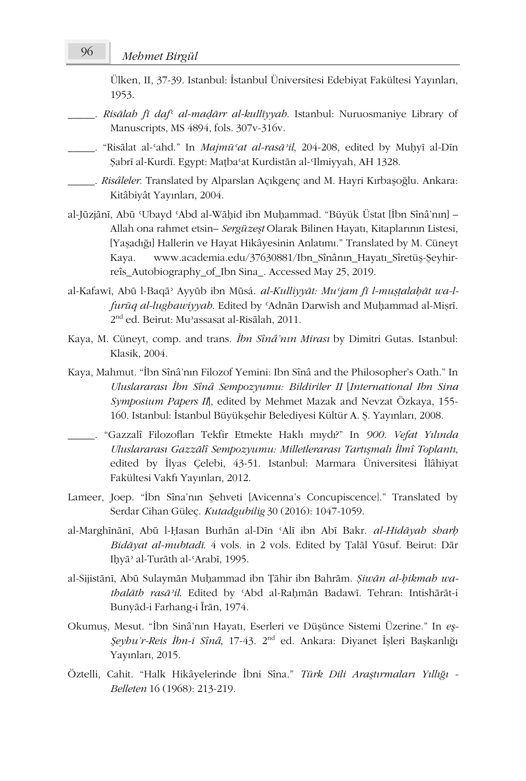# *Mehmet Birgül* 96

Ülken, II, 37-39. Istanbul: İstanbul Üniversitesi Edebiyat Fakültesi Yayınları, 1953.

- \_\_\_\_\_. *Risālah fī dafʿ al-maḍārr al-kullīyyah*. Istanbul: Nuruosmaniye Library of Manuscripts, MS 4894, fols. 307v-316v.
- \_\_\_\_\_. "Risālat al-ʿahd." In *Majmūʿat al-rasāʾil*, 204-208, edited by Muḥyī al-Dīn Ṣabrī al-Kurdī. Egypt: Maṭbaʿat Kurdistān al-ʿIlmiyyah, AH 1328.
- \_\_\_\_\_. *Risâleler*. Translated by Alparslan Açıkgenç and M. Hayri Kırbaşoğlu. Ankara: Kitâbiyât Yayınları, 2004.
- al-Jūzjānī, Abū ʿUbayd ʿAbd al-Wāḥid ibn Muḥammad. "Büyük Üstat [İbn Sînâ'nın] Allah ona rahmet etsin– *Sergüzeşt* Olarak Bilinen Hayatı, Kitaplarının Listesi, [Yaşadığı] Hallerin ve Hayat Hikâyesinin Anlatımı." Translated by M. Cüneyt Kaya. www.academia.edu/37630881/Ibn Sînânın Hayatı Sîretüş-Şeyhirreîs\_Autobiography\_of\_Ibn Sina\_. Accessed May 25, 2019.
- al-Kafawī, Abū l-Baqāʾ Ayyūb ibn Mūsá. *al-Kulliyyāt: Muʿjam fī l-muṣṭalaḥāt wa-lfurūq al-lughawiyyah*. Edited by ʿAdnān Darwīsh and Muḥammad al-Miṣrī. 2 nd ed. Beirut: Muʾassasat al-Risālah, 2011.
- Kaya, M. Cüneyt, comp. and trans. *İbn Sînâ'nın Mirası* by Dimitri Gutas. Istanbul: Klasik, 2004.
- Kaya, Mahmut. "İbn Sînâ'nın Filozof Yemini: Ibn Sînâ and the Philosopher's Oath." In *Uluslararası İbn Sînâ Sempozyumu: Bildiriler II* [*International Ibn Sina Symposium Papers II*], edited by Mehmet Mazak and Nevzat Özkaya, 155- 160. Istanbul: İstanbul Büyükşehir Belediyesi Kültür A. Ş. Yayınları, 2008.
- \_\_\_\_\_. "Gazzalî Filozofları Tekfir Etmekte Haklı mıydı?" In *900. Vefat Yılında Uluslararası Gazzālî Sempozyumu: Milletlerarası Tartışmalı İlmî Toplantı*, edited by İlyas Çelebi, 43-51. Istanbul: Marmara Üniversitesi İlâhiyat Fakültesi Vakfı Yayınları, 2012.
- Lameer, Joep. "İbn Sîna'nın Şehveti [Avicenna's Concupiscence]." Translated by Serdar Cihan Güleç. *Kutadgubilig* 30 (2016): 1047-1059.
- al-Marghīnānī, Abū l-Ḥasan Burhān al-Dīn ʿAlī ibn Abī Bakr. *al-Hidāyah sharḥ Bidāyat al-mubtadī*. 4 vols. in 2 vols. Edited by Ṭalāl Yūsuf. Beirut: Dār Iḥyāʾ al-Turāth al-ʿArabī, 1995.
- al-Sijistānī, Abū Sulaymān Muḥammad ibn Ṭāhir ibn Bahrām. *Ṣiwān al-ḥikmah wathalāth rasāʾil*. Edited by ʿAbd al-Raḥmān Badawī. Tehran: Intishārāt-i Bunyād-i Farhang-i Īrān, 1974.
- Okumuş, Mesut. "İbn Sinâ'nın Hayatı, Eserleri ve Düşünce Sistemi Üzerine." In *eş-Şeyhu'r-Reis İbn-i Sînâ*, 17-43. 2nd ed. Ankara: Diyanet İşleri Başkanlığı Yayınları, 2015.
- Öztelli, Cahit. "Halk Hikâyelerinde İbni Sîna." *Türk Dili Araştırmaları Yıllığı - Belleten* 16 (1968): 213-219.